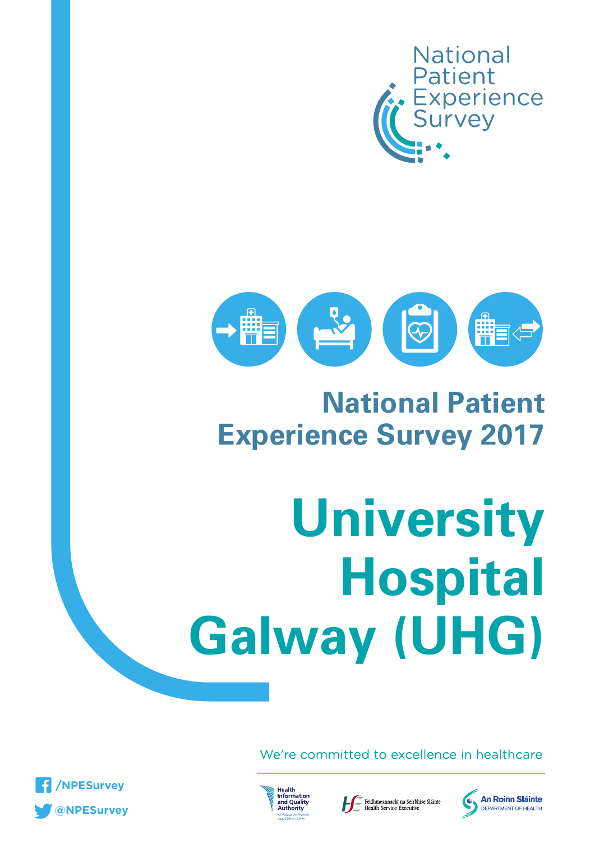



## **National Patient Experience Survey 2017**

# **University Hospital Galway (UHG)**

We're committed to excellence in healthcare







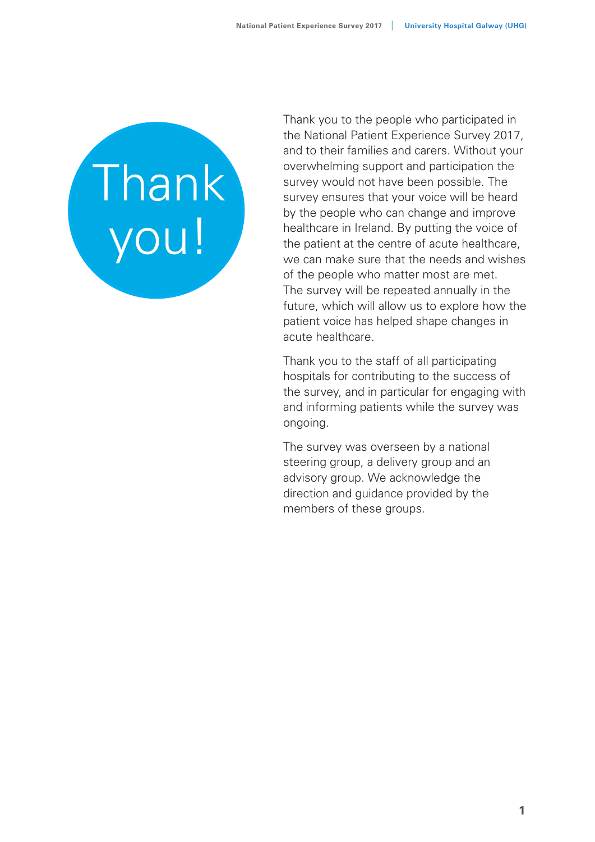# Thank you!

Thank you to the people who participated in the National Patient Experience Survey 2017, and to their families and carers. Without your overwhelming support and participation the survey would not have been possible. The survey ensures that your voice will be heard by the people who can change and improve healthcare in Ireland. By putting the voice of the patient at the centre of acute healthcare, we can make sure that the needs and wishes of the people who matter most are met. The survey will be repeated annually in the future, which will allow us to explore how the patient voice has helped shape changes in acute healthcare.

Thank you to the staff of all participating hospitals for contributing to the success of the survey, and in particular for engaging with and informing patients while the survey was ongoing.

The survey was overseen by a national steering group, a delivery group and an advisory group. We acknowledge the direction and guidance provided by the members of these groups.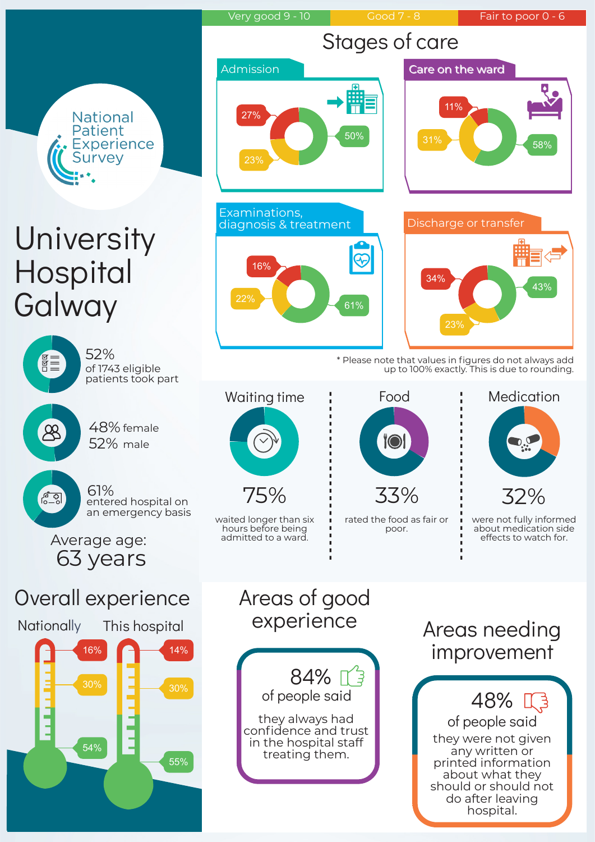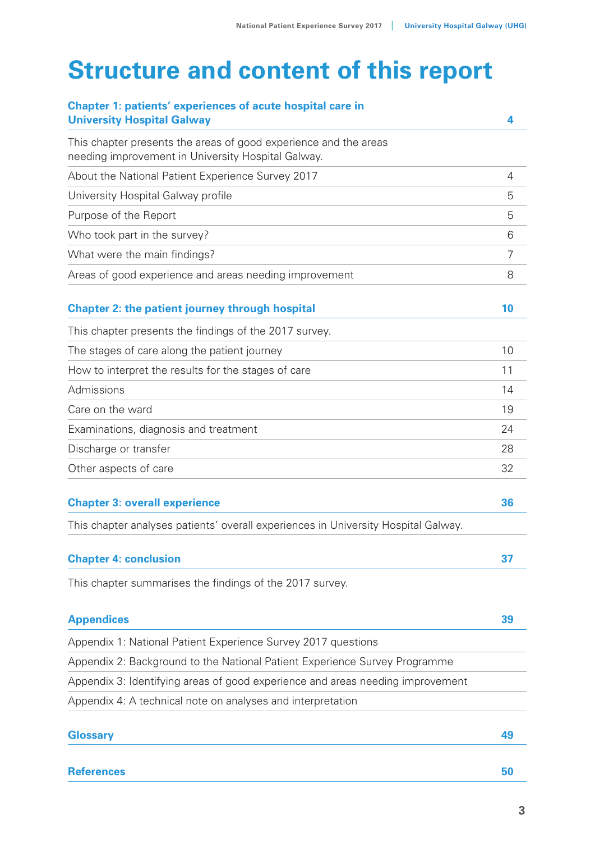## **Structure and content of this report**

| <b>Chapter 1: patients' experiences of acute hospital care in</b><br><b>University Hospital Galway</b>                 | 4  |
|------------------------------------------------------------------------------------------------------------------------|----|
| This chapter presents the areas of good experience and the areas<br>needing improvement in University Hospital Galway. |    |
| About the National Patient Experience Survey 2017                                                                      | 4  |
| University Hospital Galway profile                                                                                     | 5  |
| Purpose of the Report                                                                                                  | 5  |
| Who took part in the survey?                                                                                           | 6  |
| What were the main findings?                                                                                           | 7  |
| Areas of good experience and areas needing improvement                                                                 | 8  |
| <b>Chapter 2: the patient journey through hospital</b>                                                                 | 10 |
| This chapter presents the findings of the 2017 survey.                                                                 |    |
| The stages of care along the patient journey                                                                           | 10 |
| How to interpret the results for the stages of care                                                                    | 11 |
| Admissions                                                                                                             | 14 |
| Care on the ward                                                                                                       | 19 |
| Examinations, diagnosis and treatment                                                                                  | 24 |
| Discharge or transfer                                                                                                  | 28 |
| Other aspects of care                                                                                                  | 32 |
| <b>Chapter 3: overall experience</b>                                                                                   | 36 |
| This chapter analyses patients' overall experiences in University Hospital Galway.                                     |    |
| <b>Chapter 4: conclusion</b>                                                                                           | 37 |
| This chapter summarises the findings of the 2017 survey.                                                               |    |
| <b>Appendices</b>                                                                                                      | 39 |
| Appendix 1: National Patient Experience Survey 2017 questions                                                          |    |
| Appendix 2: Background to the National Patient Experience Survey Programme                                             |    |
| Appendix 3: Identifying areas of good experience and areas needing improvement                                         |    |
| Appendix 4: A technical note on analyses and interpretation                                                            |    |
| <b>Glossary</b>                                                                                                        | 49 |
| <b>References</b>                                                                                                      | 50 |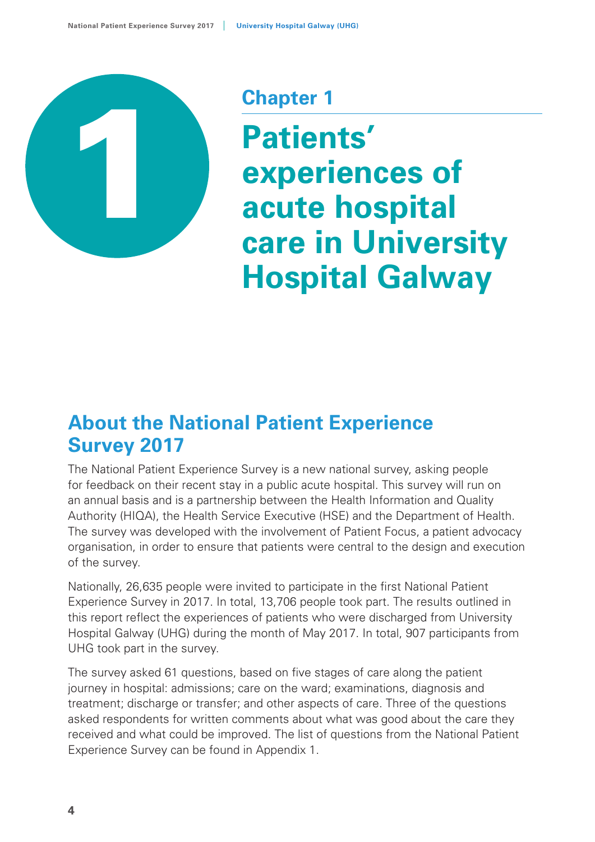

## **Chapter 1**

**Patients' experiences of acute hospital care in University Hospital Galway**

## **About the National Patient Experience Survey 2017**

The National Patient Experience Survey is a new national survey, asking people for feedback on their recent stay in a public acute hospital. This survey will run on an annual basis and is a partnership between the Health Information and Quality Authority (HIQA), the Health Service Executive (HSE) and the Department of Health. The survey was developed with the involvement of Patient Focus, a patient advocacy organisation, in order to ensure that patients were central to the design and execution of the survey.

Nationally, 26,635 people were invited to participate in the first National Patient Experience Survey in 2017. In total, 13,706 people took part. The results outlined in this report reflect the experiences of patients who were discharged from University Hospital Galway (UHG) during the month of May 2017. In total, 907 participants from UHG took part in the survey.

The survey asked 61 questions, based on five stages of care along the patient journey in hospital: admissions; care on the ward; examinations, diagnosis and treatment; discharge or transfer; and other aspects of care. Three of the questions asked respondents for written comments about what was good about the care they received and what could be improved. The list of questions from the National Patient Experience Survey can be found in Appendix 1.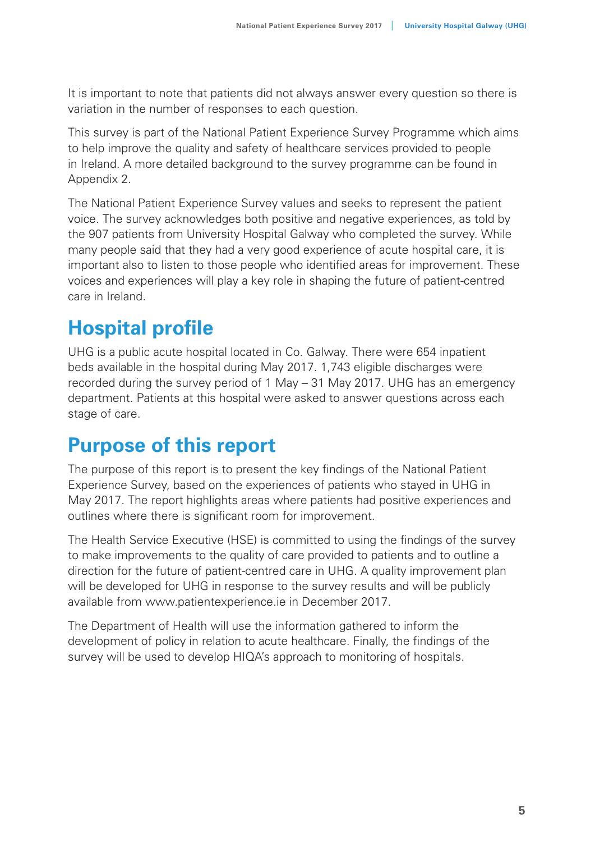It is important to note that patients did not always answer every question so there is variation in the number of responses to each question.

This survey is part of the National Patient Experience Survey Programme which aims to help improve the quality and safety of healthcare services provided to people in Ireland. A more detailed background to the survey programme can be found in Appendix 2.

The National Patient Experience Survey values and seeks to represent the patient voice. The survey acknowledges both positive and negative experiences, as told by the 907 patients from University Hospital Galway who completed the survey. While many people said that they had a very good experience of acute hospital care, it is important also to listen to those people who identified areas for improvement. These voices and experiences will play a key role in shaping the future of patient-centred care in Ireland.

## **Hospital profile**

UHG is a public acute hospital located in Co. Galway. There were 654 inpatient beds available in the hospital during May 2017. 1,743 eligible discharges were recorded during the survey period of 1 May – 31 May 2017. UHG has an emergency department. Patients at this hospital were asked to answer questions across each stage of care.

## **Purpose of this report**

The purpose of this report is to present the key findings of the National Patient Experience Survey, based on the experiences of patients who stayed in UHG in May 2017. The report highlights areas where patients had positive experiences and outlines where there is significant room for improvement.

The Health Service Executive (HSE) is committed to using the findings of the survey to make improvements to the quality of care provided to patients and to outline a direction for the future of patient-centred care in UHG. A quality improvement plan will be developed for UHG in response to the survey results and will be publicly available from www.patientexperience.ie in December 2017.

The Department of Health will use the information gathered to inform the development of policy in relation to acute healthcare. Finally, the findings of the survey will be used to develop HIQA's approach to monitoring of hospitals.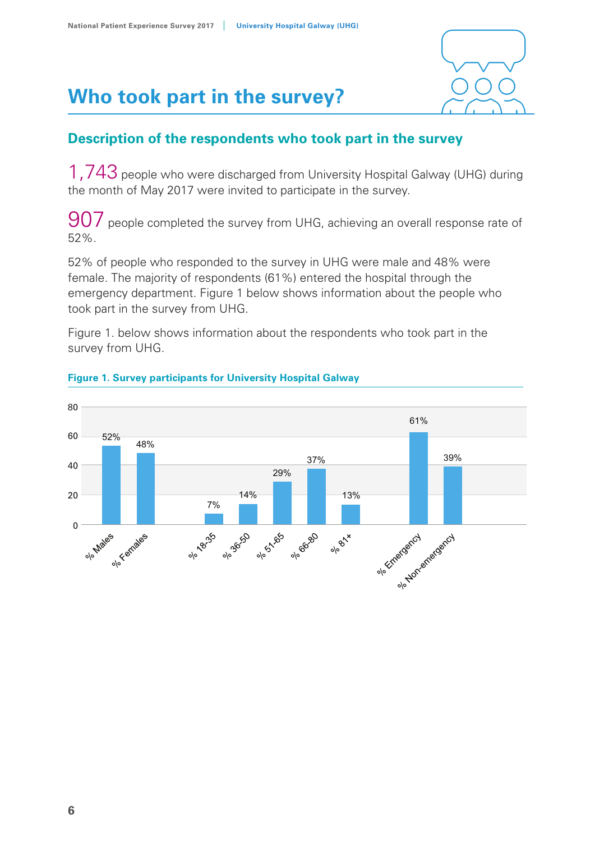

## **Who took part in the survey?**

## **Description of the respondents who took part in the survey**

1.743 people who were discharged from University Hospital Galway (UHG) during the month of May 2017 were invited to participate in the survey.

907 people completed the survey from UHG, achieving an overall response rate of 52%.

52% of people who responded to the survey in UHG were male and 48% were female. The majority of respondents (61%) entered the hospital through the emergency department. Figure 1 below shows information about the people who took part in the survey from UHG.

Figure 1. below shows information about the respondents who took part in the **Figure 1. Survey from UHG.** Survey participants for  $\mathbf{F}$  and  $\mathbf{F}$  and  $\mathbf{F}$  and  $\mathbf{F}$  are group  $\mathbf{F}$  and  $\mathbf{F}$  are group  $\mathbf{F}$  and  $\mathbf{F}$  and  $\mathbf{F}$  are group  $\mathbf{F}$  and  $\mathbf{F}$  are group  $\$ 



#### **Figure 1. Survey participants for University Hospital Galway**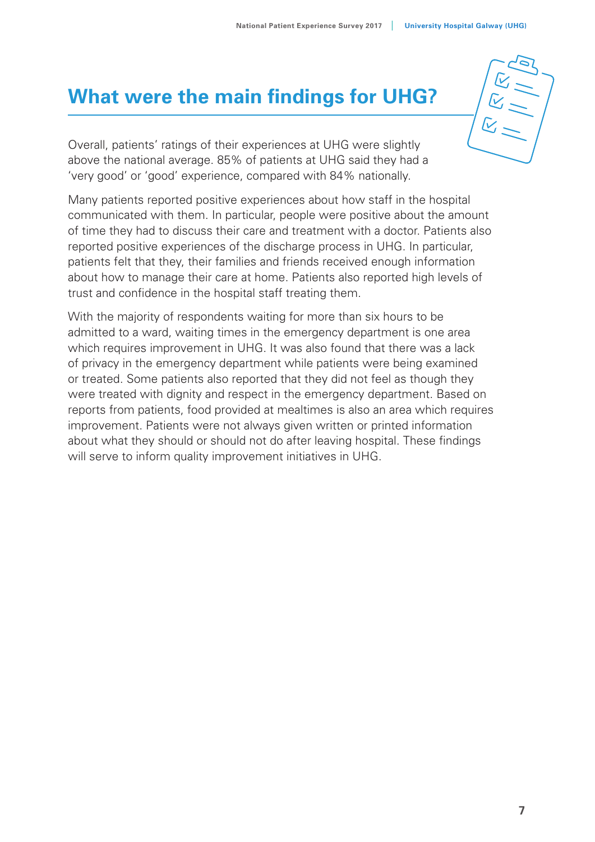## **What were the main findings for UHG?**

Overall, patients' ratings of their experiences at UHG were slightly above the national average. 85% of patients at UHG said they had a 'very good' or 'good' experience, compared with 84% nationally.

Many patients reported positive experiences about how staff in the hospital communicated with them. In particular, people were positive about the amount of time they had to discuss their care and treatment with a doctor. Patients also reported positive experiences of the discharge process in UHG. In particular, patients felt that they, their families and friends received enough information about how to manage their care at home. Patients also reported high levels of trust and confidence in the hospital staff treating them.

With the majority of respondents waiting for more than six hours to be admitted to a ward, waiting times in the emergency department is one area which requires improvement in UHG. It was also found that there was a lack of privacy in the emergency department while patients were being examined or treated. Some patients also reported that they did not feel as though they were treated with dignity and respect in the emergency department. Based on reports from patients, food provided at mealtimes is also an area which requires improvement. Patients were not always given written or printed information about what they should or should not do after leaving hospital. These findings will serve to inform quality improvement initiatives in UHG.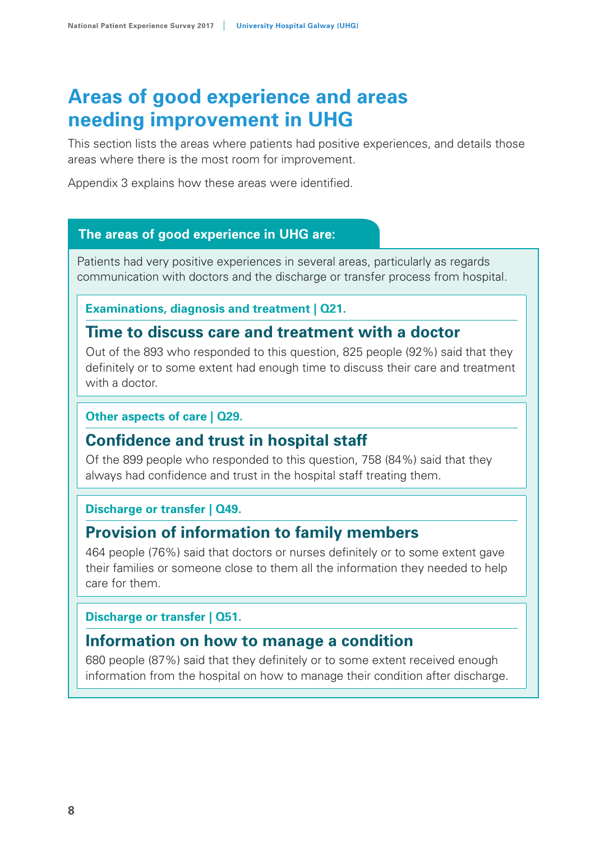## **Areas of good experience and areas needing improvement in UHG**

This section lists the areas where patients had positive experiences, and details those areas where there is the most room for improvement.

Appendix 3 explains how these areas were identified.

#### **The areas of good experience in UHG are:**

Patients had very positive experiences in several areas, particularly as regards communication with doctors and the discharge or transfer process from hospital.

**Examinations, diagnosis and treatment | Q21.** 

## **Time to discuss care and treatment with a doctor**

Out of the 893 who responded to this question, 825 people (92%) said that they definitely or to some extent had enough time to discuss their care and treatment with a doctor

#### **Other aspects of care | Q29.**

## **Confidence and trust in hospital staff**

Of the 899 people who responded to this question, 758 (84%) said that they always had confidence and trust in the hospital staff treating them.

#### **Discharge or transfer | Q49.**

## **Provision of information to family members**

464 people (76%) said that doctors or nurses definitely or to some extent gave their families or someone close to them all the information they needed to help care for them.

#### **Discharge or transfer | Q51.**

## **Information on how to manage a condition**

680 people (87%) said that they definitely or to some extent received enough information from the hospital on how to manage their condition after discharge.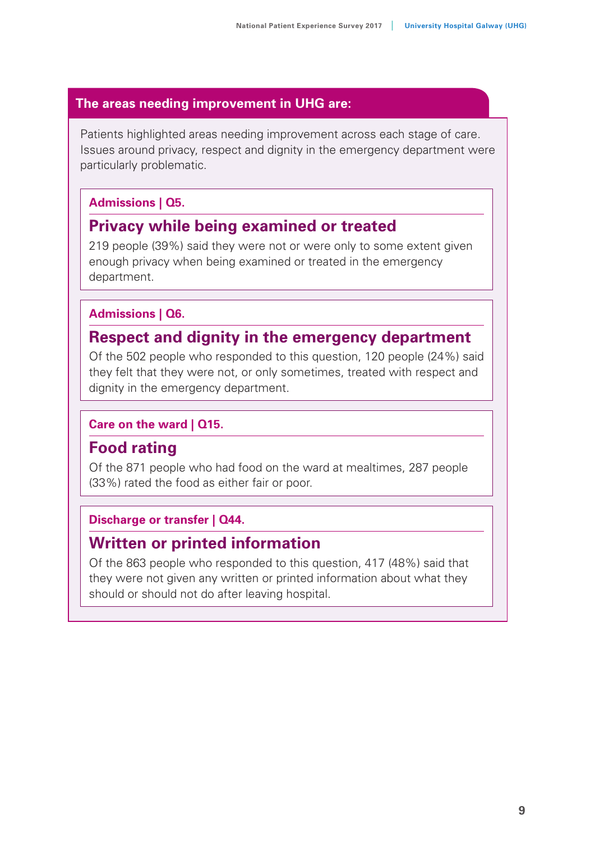## **The areas needing improvement in UHG are:**

Patients highlighted areas needing improvement across each stage of care. Issues around privacy, respect and dignity in the emergency department were particularly problematic.

## **Admissions | Q5.**

## **Privacy while being examined or treated**

219 people (39%) said they were not or were only to some extent given enough privacy when being examined or treated in the emergency department.

#### **Admissions | Q6.**

## **Respect and dignity in the emergency department**

Of the 502 people who responded to this question, 120 people (24%) said they felt that they were not, or only sometimes, treated with respect and dignity in the emergency department.

#### **Care on the ward | Q15.**

## **Food rating**

Of the 871 people who had food on the ward at mealtimes, 287 people (33%) rated the food as either fair or poor.

## **Discharge or transfer | Q44.**

## **Written or printed information**

Of the 863 people who responded to this question, 417 (48%) said that they were not given any written or printed information about what they should or should not do after leaving hospital.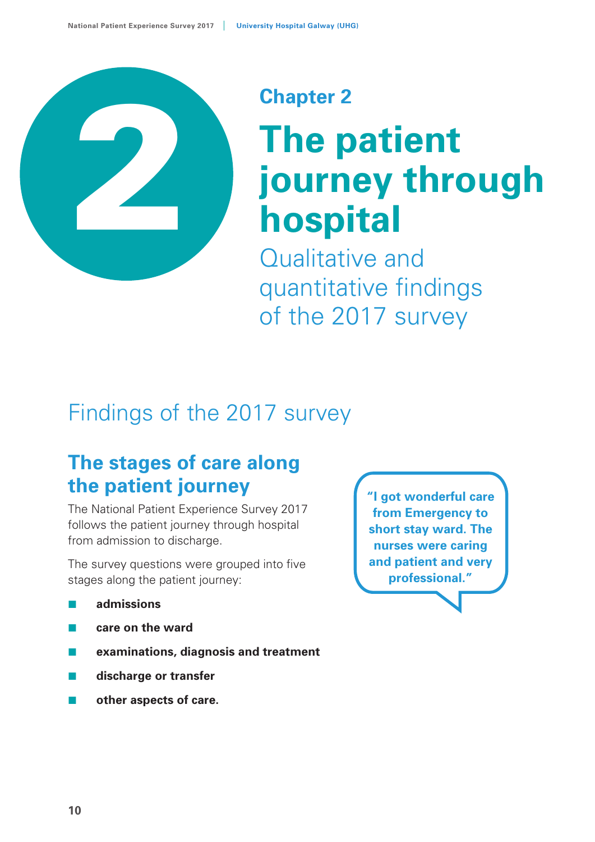

## **Chapter 2**

## **The patient journey through hospital**

Qualitative and quantitative findings of the 2017 survey

## Findings of the 2017 survey

## **The stages of care along the patient journey**

The National Patient Experience Survey 2017 follows the patient journey through hospital from admission to discharge.

The survey questions were grouped into five stages along the patient journey:

- **admissions**
- **care on the ward**
- **examinations, diagnosis and treatment**
- **discharge or transfer**
- **other aspects of care.**

**"I got wonderful care from Emergency to short stay ward. The nurses were caring and patient and very professional."**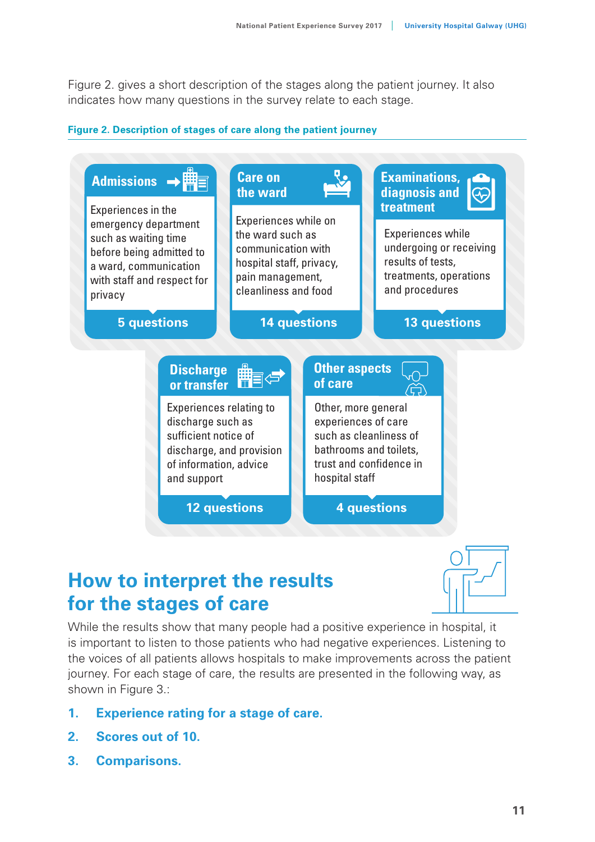Figure 2. gives a short description of the stages along the patient journey. It also indicates how many questions in the survey relate to each stage.

#### **Figure 2. Description of stages of care along the patient journey**



## **How to interpret the results for the stages of care**



While the results show that many people had a positive experience in hospital, it is important to listen to those patients who had negative experiences. Listening to the voices of all patients allows hospitals to make improvements across the patient journey. For each stage of care, the results are presented in the following way, as shown in Figure 3.:

- **1. Experience rating for a stage of care.**
- **2. Scores out of 10.**
- **3. Comparisons.**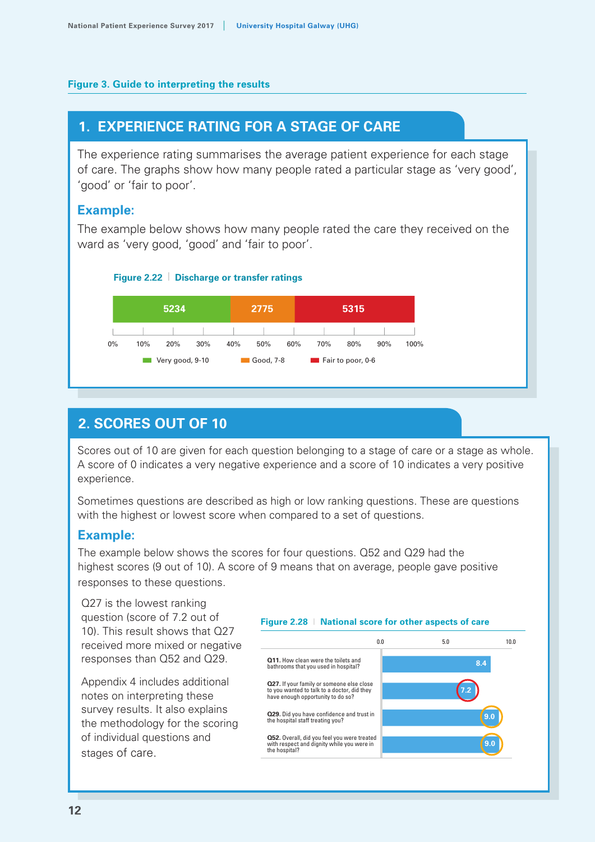#### **Figure 3. Guide to interpreting the results**

## **1. EXPERIENCE RATING FOR A STAGE OF CARE**

The experience rating summarises the average patient experience for each stage of care. The graphs show how many people rated a particular stage as 'very good', 'good' or 'fair to poor'.

#### **Example:**

The example below shows how many people rated the care they received on the ward as 'very good, 'good' and 'fair to poor'.





#### **2. SCORES OUT OF 10**

Scores out of 10 are given for each question belonging to a stage of care or a stage as whole. A score of 0 indicates a very negative experience and a score of 10 indicates a very positive experience.

Sometimes questions are described as high or low ranking questions. These are questions with the highest or lowest score when compared to a set of questions.

#### **Example:**

The example below shows the scores for four questions. Q52 and Q29 had the highest scores (9 out of 10). A score of 9 means that on average, people gave positive responses to these questions.

Q27 is the lowest ranking question (score of 7.2 out of 10). This result shows that Q27 received more mixed or negative responses than Q52 and Q29.

Appendix 4 includes additional notes on interpreting these survey results. It also explains the methodology for the scoring of individual questions and stages of care.

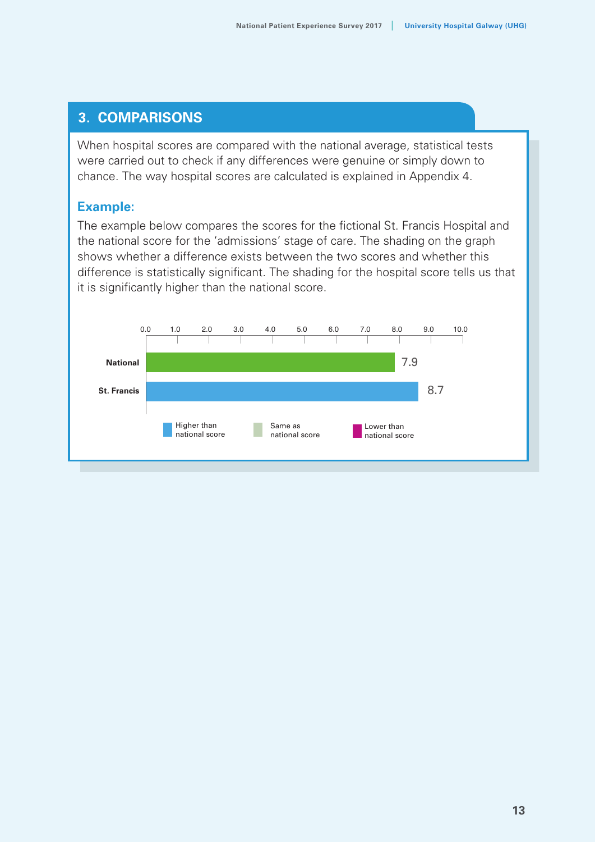#### **3. COMPARISONS**

When hospital scores are compared with the national average, statistical tests were carried out to check if any differences were genuine or simply down to chance. The way hospital scores are calculated is explained in Appendix 4.

#### **Example:**

The example below compares the scores for the fictional St. Francis Hospital and the national score for the 'admissions' stage of care. The shading on the graph shows whether a difference exists between the two scores and whether this difference is statistically significant. The shading for the hospital score tells us that it is significantly higher than the national score.

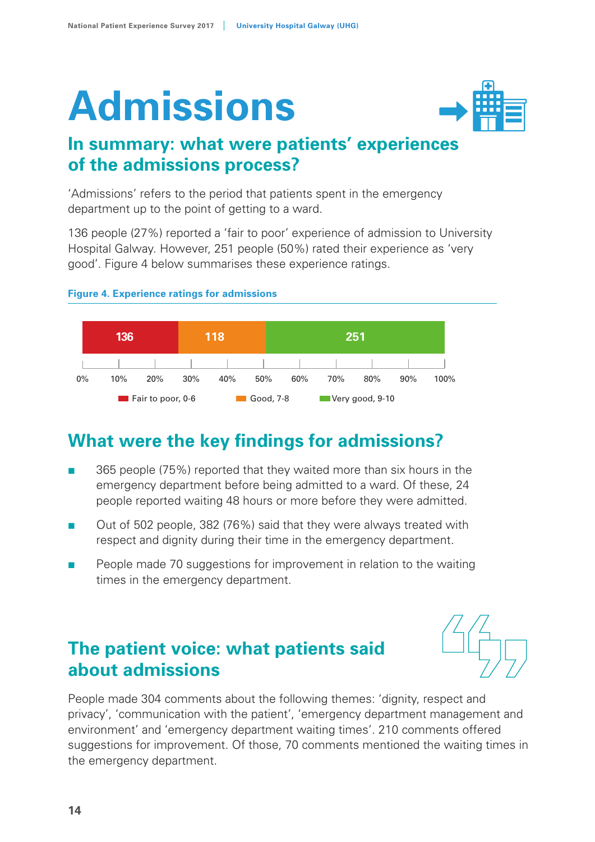# **Admissions**



## **In summary: what were patients' experiences of the admissions process?**

'Admissions' refers to the period that patients spent in the emergency department up to the point of getting to a ward.

136 people (27%) reported a 'fair to poor' experience of admission to University Hospital Galway. However, 251 people (50%) rated their experience as 'very good'. Figure 4 below summarises these experience ratings.



#### **Figure 4. Experience ratings for admissions**

## **What were the key findings for admissions?**

- 365 people (75%) reported that they waited more than six hours in the emergency department before being admitted to a ward. Of these, 24 people reported waiting 48 hours or more before they were admitted.
- Out of 502 people, 382 (76%) said that they were always treated with respect and dignity during their time in the emergency department.
- People made 70 suggestions for improvement in relation to the waiting times in the emergency department.

## **The patient voice: what patients said about admissions**



People made 304 comments about the following themes: 'dignity, respect and privacy', 'communication with the patient', 'emergency department management and environment' and 'emergency department waiting times'. 210 comments offered suggestions for improvement. Of those, 70 comments mentioned the waiting times in the emergency department.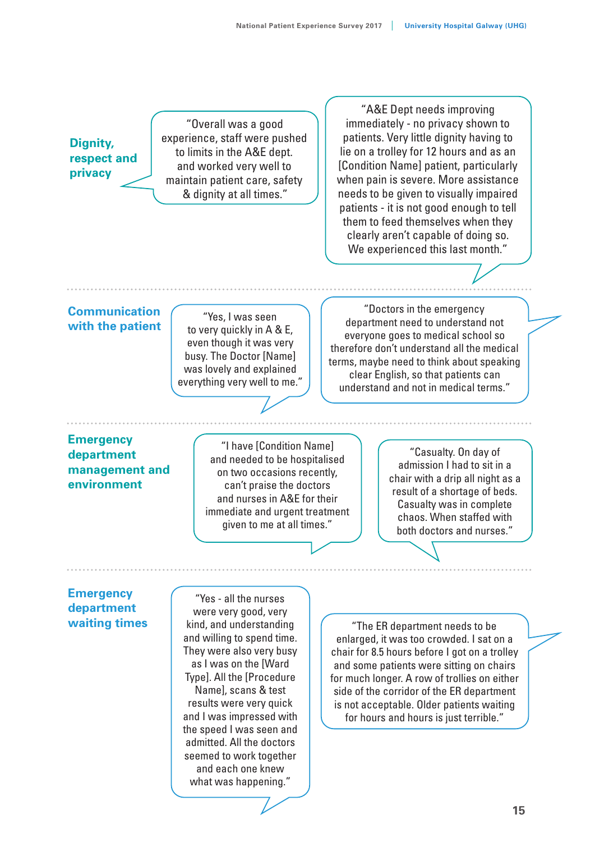## **Dignity, respect and privacy**

"Overall was a good experience, staff were pushed to limits in the A&E dept. and worked very well to maintain patient care, safety & dignity at all times."

"A&E Dept needs improving immediately - no privacy shown to patients. Very little dignity having to lie on a trolley for 12 hours and as an [Condition Name] patient, particularly when pain is severe. More assistance needs to be given to visually impaired patients - it is not good enough to tell them to feed themselves when they clearly aren't capable of doing so. We experienced this last month."

#### **Communication with the patient**

"Yes, I was seen to very quickly in A & E, even though it was very busy. The Doctor [Name] was lovely and explained everything very well to me."

"Doctors in the emergency department need to understand not everyone goes to medical school so therefore don't understand all the medical terms, maybe need to think about speaking clear English, so that patients can understand and not in medical terms."

#### **Emergency department management and environment**

"I have [Condition Name] and needed to be hospitalised on two occasions recently, can't praise the doctors and nurses in A&E for their immediate and urgent treatment given to me at all times."

"Casualty. On day of admission I had to sit in a chair with a drip all night as a result of a shortage of beds. Casualty was in complete chaos. When staffed with both doctors and nurses."

#### **Emergency department waiting times**

"Yes - all the nurses were very good, very kind, and understanding and willing to spend time. They were also very busy as I was on the [Ward Type]. All the [Procedure Name], scans & test results were very quick and I was impressed with the speed I was seen and admitted. All the doctors seemed to work together and each one knew what was happening."

"The ER department needs to be enlarged, it was too crowded. I sat on a chair for 8.5 hours before I got on a trolley and some patients were sitting on chairs for much longer. A row of trollies on either side of the corridor of the ER department is not acceptable. Older patients waiting for hours and hours is just terrible."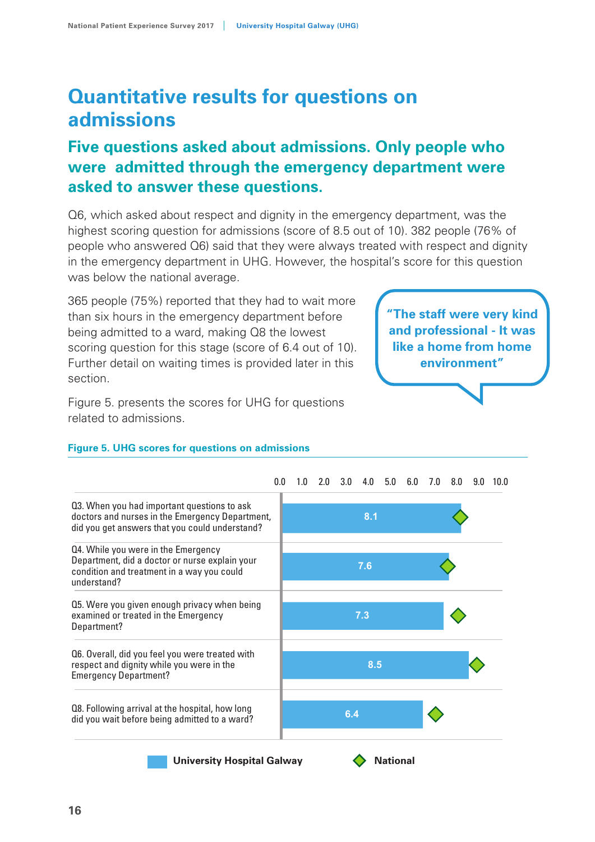## **Quantitative results for questions on admissions**

## **Five questions asked about admissions. Only people who were admitted through the emergency department were asked to answer these questions.**

Q6, which asked about respect and dignity in the emergency department, was the highest scoring question for admissions (score of 8.5 out of 10). 382 people (76% of people who answered Q6) said that they were always treated with respect and dignity in the emergency department in UHG. However, the hospital's score for this question was below the national average.

365 people (75%) reported that they had to wait more than six hours in the emergency department before being admitted to a ward, making Q8 the lowest scoring question for this stage (score of 6.4 out of 10). Further detail on waiting times is provided later in this section.

Figure 5. presents the scores for UHG for questions related to admissions.

**"The staff were very kind and professional - It was like a home from home environment"**



#### **Figure 5. UHG scores for questions on admissions**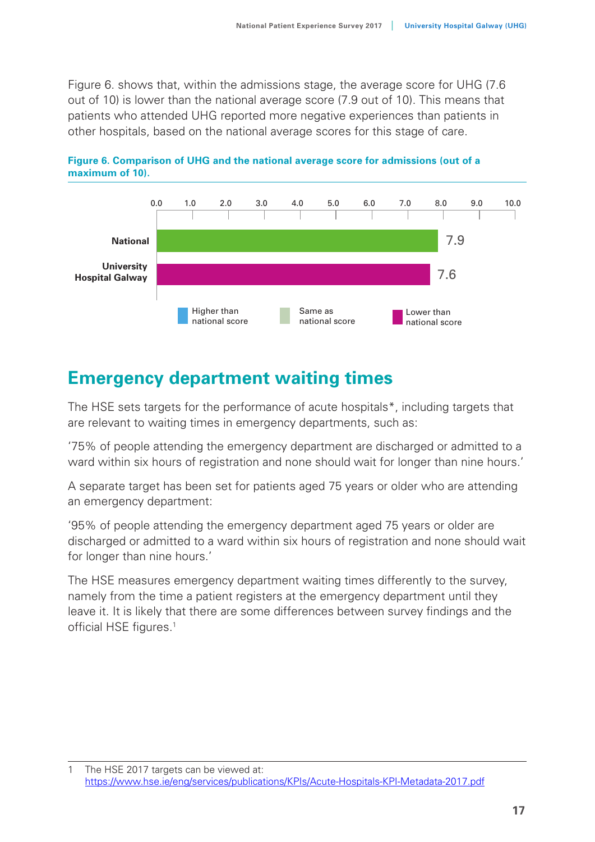Figure 6. shows that, within the admissions stage, the average score for UHG (7.6 out of 10) is lower than the national average score (7.9 out of 10). This means that patients who attended UHG reported more negative experiences than patients in **Figure 6** other hospitals, based on the national average scores for this stage of care.





## **Emergency department waiting times**

The HSE sets targets for the performance of acute hospitals\*, including targets that are relevant to waiting times in emergency departments, such as:

'75% of people attending the emergency department are discharged or admitted to a ward within six hours of registration and none should wait for longer than nine hours.'

A separate target has been set for patients aged 75 years or older who are attending an emergency department:

'95% of people attending the emergency department aged 75 years or older are discharged or admitted to a ward within six hours of registration and none should wait for longer than nine hours.'

The HSE measures emergency department waiting times differently to the survey, namely from the time a patient registers at the emergency department until they leave it. It is likely that there are some differences between survey findings and the official HSE figures.<sup>1</sup>

<sup>1</sup> The HSE 2017 targets can be viewed at: https://www.hse.ie/eng/services/publications/KPIs/Acute-Hospitals-KPI-Metadata-2017.pdf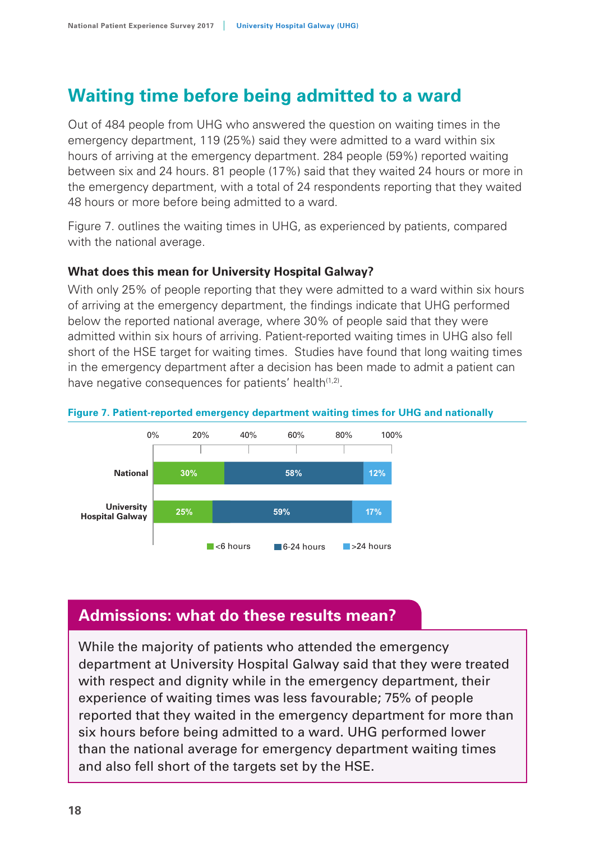## **Waiting time before being admitted to a ward**

Out of 484 people from UHG who answered the question on waiting times in the emergency department, 119 (25%) said they were admitted to a ward within six hours of arriving at the emergency department. 284 people (59%) reported waiting between six and 24 hours. 81 people (17%) said that they waited 24 hours or more in the emergency department, with a total of 24 respondents reporting that they waited 48 hours or more before being admitted to a ward.

Figure 7. outlines the waiting times in UHG, as experienced by patients, compared with the national average.

#### **What does this mean for University Hospital Galway?**

With only 25% of people reporting that they were admitted to a ward within six hours of arriving at the emergency department, the findings indicate that UHG performed below the reported national average, where 30% of people said that they were admitted within six hours of arriving. Patient-reported waiting times in UHG also fell short of the HSE target for waiting times. Studies have found that long waiting times in the emergency department after a decision has been made to admit a patient can have negative consequences for patients' health<sup>(1,2)</sup>.



#### **Figure 7. Patient-reported emergency department waiting times for UHG and nationally**

## **Admissions: what do these results mean?**

While the majority of patients who attended the emergency department at University Hospital Galway said that they were treated with respect and dignity while in the emergency department, their experience of waiting times was less favourable; 75% of people reported that they waited in the emergency department for more than six hours before being admitted to a ward. UHG performed lower than the national average for emergency department waiting times and also fell short of the targets set by the HSE.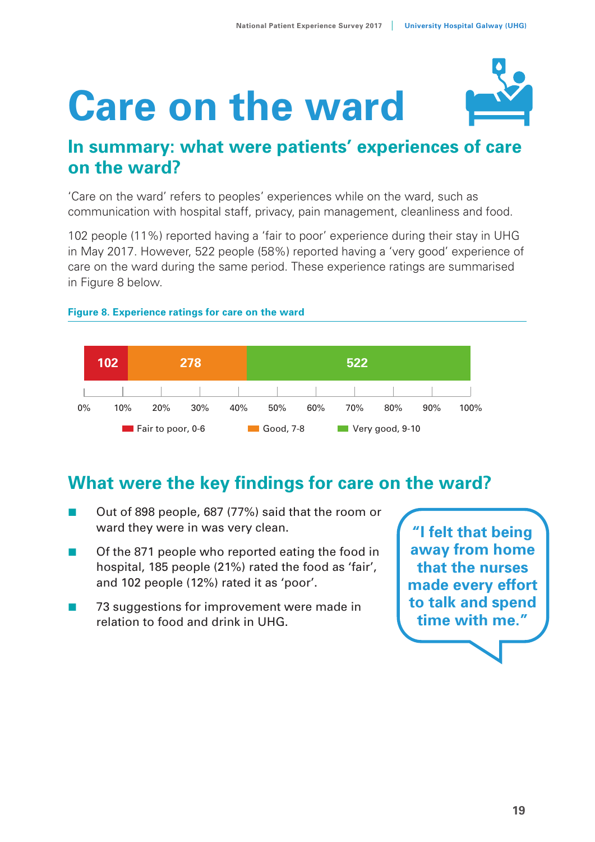# **Care on the ward**



## **In summary: what were patients' experiences of care on the ward?**

'Care on the ward' refers to peoples' experiences while on the ward, such as communication with hospital staff, privacy, pain management, cleanliness and food.

102 people (11%) reported having a 'fair to poor' experience during their stay in UHG in May 2017. However, 522 people (58%) reported having a 'very good' experience of care on the ward during the same period. These experience ratings are summarised in Figure 8 below. **Figure 8.** Experience rating for  $\theta$ 



#### **Figure 8. Experience ratings for care on the ward**

## **What were the key findings for care on the ward?**

- Out of 898 people, 687 (77%) said that the room or ward they were in was very clean.
- Of the 871 people who reported eating the food in hospital, 185 people (21%) rated the food as 'fair', and 102 people (12%) rated it as 'poor'.
- 73 suggestions for improvement were made in relation to food and drink in UHG.

**"I felt that being away from home that the nurses made every effort to talk and spend time with me."**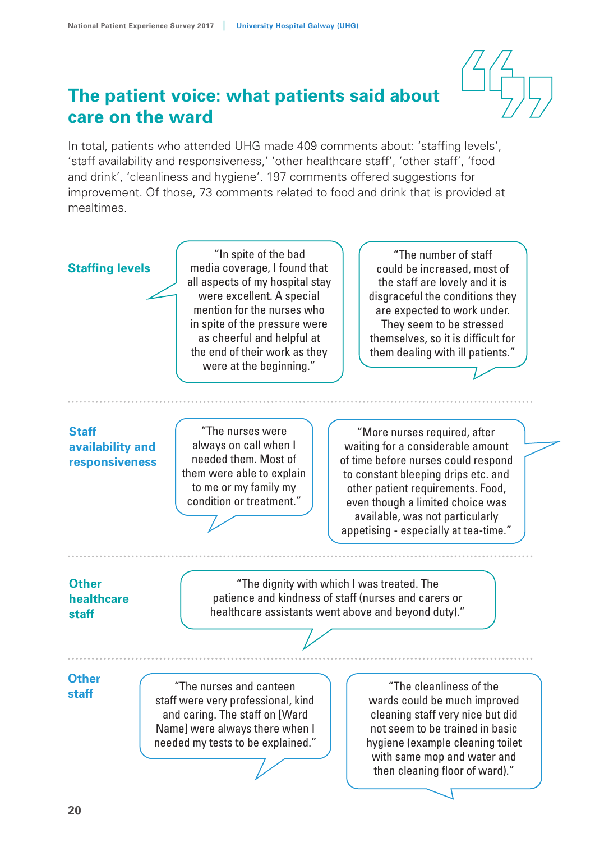

## **The patient voice: what patients said about care on the ward**

In total, patients who attended UHG made 409 comments about: 'staffing levels', 'staff availability and responsiveness,' 'other healthcare staff', 'other staff', 'food and drink', 'cleanliness and hygiene'. 197 comments offered suggestions for improvement. Of those, 73 comments related to food and drink that is provided at mealtimes.

#### **Staffing levels**

"In spite of the bad media coverage, I found that all aspects of my hospital stay were excellent. A special mention for the nurses who in spite of the pressure were as cheerful and helpful at the end of their work as they were at the beginning."

"The number of staff could be increased, most of the staff are lovely and it is disgraceful the conditions they are expected to work under. They seem to be stressed themselves, so it is difficult for them dealing with ill patients."

#### **Staff availability and responsiveness**

"The nurses were always on call when I needed them. Most of them were able to explain to me or my family my condition or treatment."

"More nurses required, after waiting for a considerable amount of time before nurses could respond to constant bleeping drips etc. and other patient requirements. Food, even though a limited choice was available, was not particularly appetising - especially at tea-time."

#### **Other healthcare staff**

"The dignity with which I was treated. The patience and kindness of staff (nurses and carers or healthcare assistants went above and beyond duty)."

#### **Other staff**

"The nurses and canteen staff were very professional, kind and caring. The staff on [Ward Name] were always there when I needed my tests to be explained."

"The cleanliness of the wards could be much improved cleaning staff very nice but did not seem to be trained in basic hygiene (example cleaning toilet with same mop and water and then cleaning floor of ward)."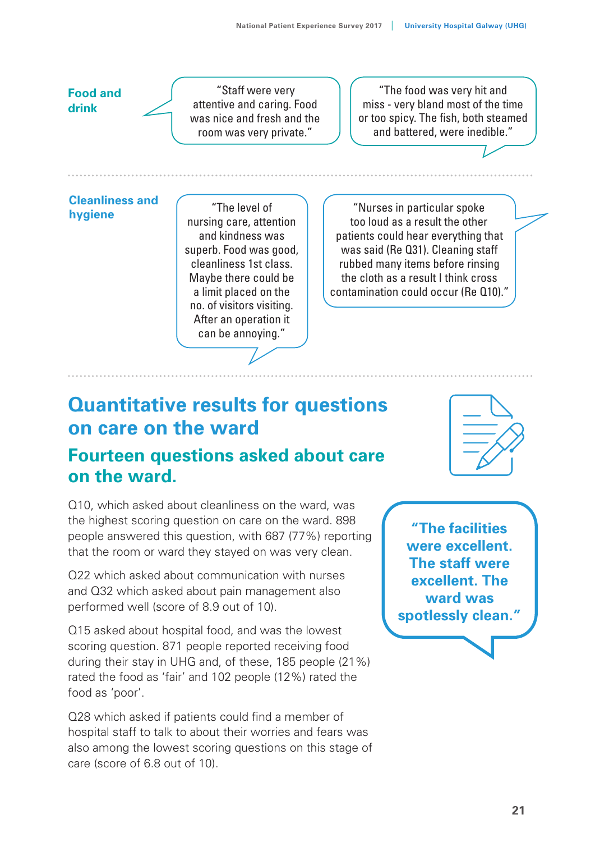#### **Food and drink**

"Staff were very attentive and caring. Food was nice and fresh and the room was very private."

"The food was very hit and miss - very bland most of the time or too spicy. The fish, both steamed and battered, were inedible."

#### **Cleanliness and hygiene**

"The level of nursing care, attention and kindness was superb. Food was good, cleanliness 1st class. Maybe there could be a limit placed on the no. of visitors visiting. After an operation it can be annoying."

"Nurses in particular spoke too loud as a result the other patients could hear everything that was said (Re Q31). Cleaning staff rubbed many items before rinsing the cloth as a result I think cross contamination could occur (Re Q10)."

## **Quantitative results for questions on care on the ward**

## **Fourteen questions asked about care on the ward.**

Q10, which asked about cleanliness on the ward, was the highest scoring question on care on the ward. 898 people answered this question, with 687 (77%) reporting that the room or ward they stayed on was very clean.

Q22 which asked about communication with nurses and Q32 which asked about pain management also performed well (score of 8.9 out of 10).

Q15 asked about hospital food, and was the lowest scoring question. 871 people reported receiving food during their stay in UHG and, of these, 185 people (21%) rated the food as 'fair' and 102 people (12%) rated the food as 'poor'.

Q28 which asked if patients could find a member of hospital staff to talk to about their worries and fears was also among the lowest scoring questions on this stage of care (score of 6.8 out of 10).



**"The facilities were excellent. The staff were excellent. The ward was spotlessly clean."**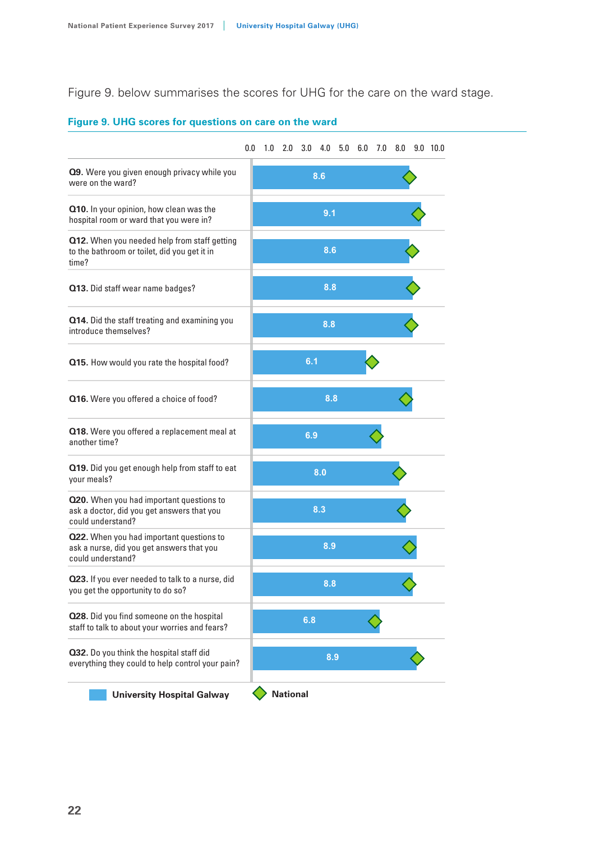Figure 9. below summarises the scores for UHG for the care on the ward stage.

#### **Figure 9. UHG scores for questions on care on the ward**

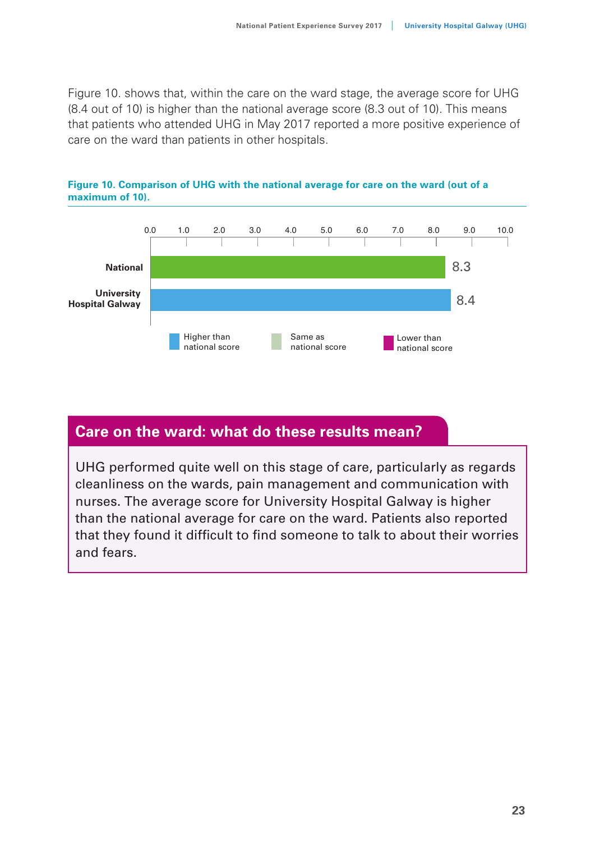Figure 10. shows that, within the care on the ward stage, the average score for UHG (8.4 out of 10) is higher than the national average score (8.3 out of 10). This means that patients who attended UHG in May 2017 reported a more positive experience of care on the ward than patients in other hospitals.





## **Care on the ward: what do these results mean?**

UHG performed quite well on this stage of care, particularly as regards cleanliness on the wards, pain management and communication with nurses. The average score for University Hospital Galway is higher than the national average for care on the ward. Patients also reported that they found it difficult to find someone to talk to about their worries and fears.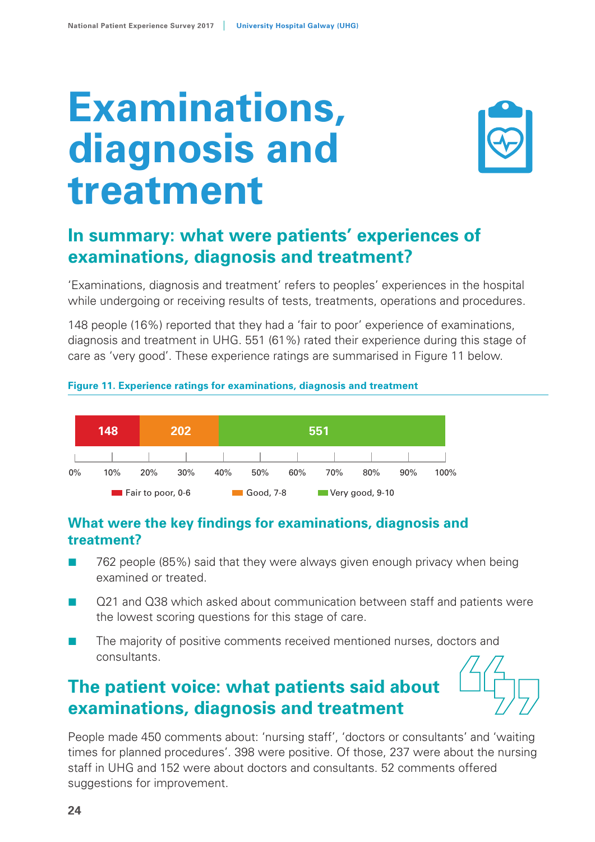# **Examinations, diagnosis and treatment**



## **In summary: what were patients' experiences of examinations, diagnosis and treatment?**

'Examinations, diagnosis and treatment' refers to peoples' experiences in the hospital while undergoing or receiving results of tests, treatments, operations and procedures.

148 people (16%) reported that they had a 'fair to poor' experience of examinations, diagnosis and treatment in UHG. 551 (61%) rated their experience during this stage of care as 'very good'. These experience ratings are summarised in Figure 11 below.

#### **Figure 11. Experience ratings for examinations, diagnosis and treatment**



## **What were the key findings for examinations, diagnosis and treatment?**

- 762 people (85%) said that they were always given enough privacy when being examined or treated.
- Q21 and Q38 which asked about communication between staff and patients were the lowest scoring questions for this stage of care.
- The majority of positive comments received mentioned nurses, doctors and consultants.

## **The patient voice: what patients said about examinations, diagnosis and treatment**

People made 450 comments about: 'nursing staff', 'doctors or consultants' and 'waiting times for planned procedures'. 398 were positive. Of those, 237 were about the nursing staff in UHG and 152 were about doctors and consultants. 52 comments offered suggestions for improvement.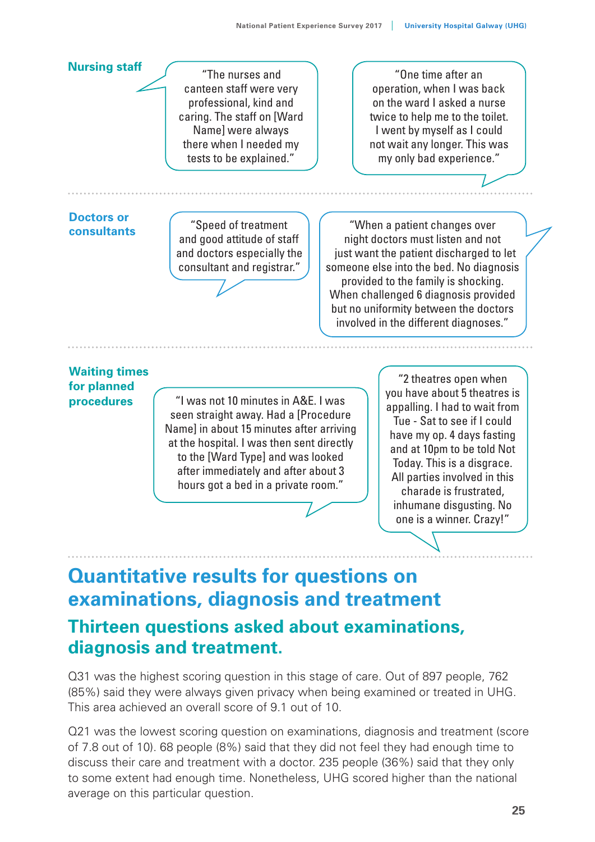#### **Nursing staff Doctors or consultants Waiting times for planned procedures** "The nurses and canteen staff were very professional, kind and caring. The staff on [Ward Name] were always there when I needed my tests to be explained." "Speed of treatment and good attitude of staff and doctors especially the consultant and registrar." "I was not 10 minutes in A&E. I was seen straight away. Had a [Procedure Name] in about 15 minutes after arriving at the hospital. I was then sent directly to the [Ward Type] and was looked after immediately and after about 3 hours got a bed in a private room." "When a patient changes over night doctors must listen and not just want the patient discharged to let someone else into the bed. No diagnosis provided to the family is shocking. When challenged 6 diagnosis provided but no uniformity between the doctors involved in the different diagnoses." "One time after an operation, when I was back on the ward I asked a nurse twice to help me to the toilet. I went by myself as I could not wait any longer. This was my only bad experience." "2 theatres open when you have about 5 theatres is appalling. I had to wait from Tue - Sat to see if I could have my op. 4 days fasting and at 10pm to be told Not Today. This is a disgrace. All parties involved in this charade is frustrated,

## **Quantitative results for questions on examinations, diagnosis and treatment Thirteen questions asked about examinations, diagnosis and treatment.**

Q31 was the highest scoring question in this stage of care. Out of 897 people, 762 (85%) said they were always given privacy when being examined or treated in UHG. This area achieved an overall score of 9.1 out of 10.

Q21 was the lowest scoring question on examinations, diagnosis and treatment (score of 7.8 out of 10). 68 people (8%) said that they did not feel they had enough time to discuss their care and treatment with a doctor. 235 people (36%) said that they only to some extent had enough time. Nonetheless, UHG scored higher than the national average on this particular question.

inhumane disgusting. No one is a winner. Crazy!"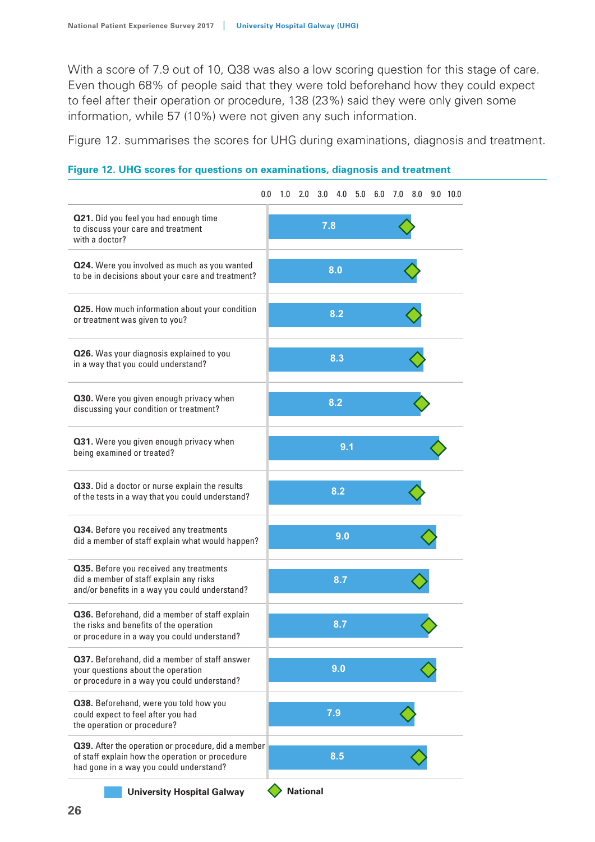With a score of 7.9 out of 10, Q38 was also a low scoring question for this stage of care. Even though 68% of people said that they were told beforehand how they could expect to feel after their operation or procedure, 138 (23%) said they were only given some information, while 57 (10%) were not given any such information.

Figure 12. summarises the scores for UHG during examinations, diagnosis and treatment.

#### **Figure 12. UHG scores for questions on examinations, diagnosis and treatment Figure 15. SVUH scores for discharge or transfer**

| 0.0 | 1.0                                                                                                            |  | 4.0 |                                                                    |     |                |                | $9.0$ 10.0 |
|-----|----------------------------------------------------------------------------------------------------------------|--|-----|--------------------------------------------------------------------|-----|----------------|----------------|------------|
|     |                                                                                                                |  |     |                                                                    |     |                |                |            |
|     |                                                                                                                |  |     |                                                                    |     |                |                |            |
|     |                                                                                                                |  |     |                                                                    |     |                |                |            |
|     |                                                                                                                |  |     |                                                                    |     |                |                |            |
|     |                                                                                                                |  |     |                                                                    |     |                |                |            |
|     |                                                                                                                |  |     |                                                                    |     |                |                |            |
|     |                                                                                                                |  |     |                                                                    |     |                |                |            |
|     |                                                                                                                |  | 9.0 |                                                                    |     |                |                |            |
|     |                                                                                                                |  | 8.7 |                                                                    |     |                |                |            |
|     |                                                                                                                |  | 8.7 |                                                                    |     |                |                |            |
|     |                                                                                                                |  |     |                                                                    |     |                |                |            |
|     |                                                                                                                |  |     |                                                                    |     |                |                |            |
|     |                                                                                                                |  |     |                                                                    |     |                |                |            |
|     | did a member of staff explain what would happen?<br><b>Q39.</b> After the operation or procedure, did a member |  | 2.0 | 3.0<br>7.8<br>8.0<br>8.2<br>8.3<br>8.2<br>8.2<br>9.0<br>7.9<br>8.5 | 9.1 | $5.0\quad 6.0$ | $7.0\quad 8.0$ |            |

**University Hospital Galway**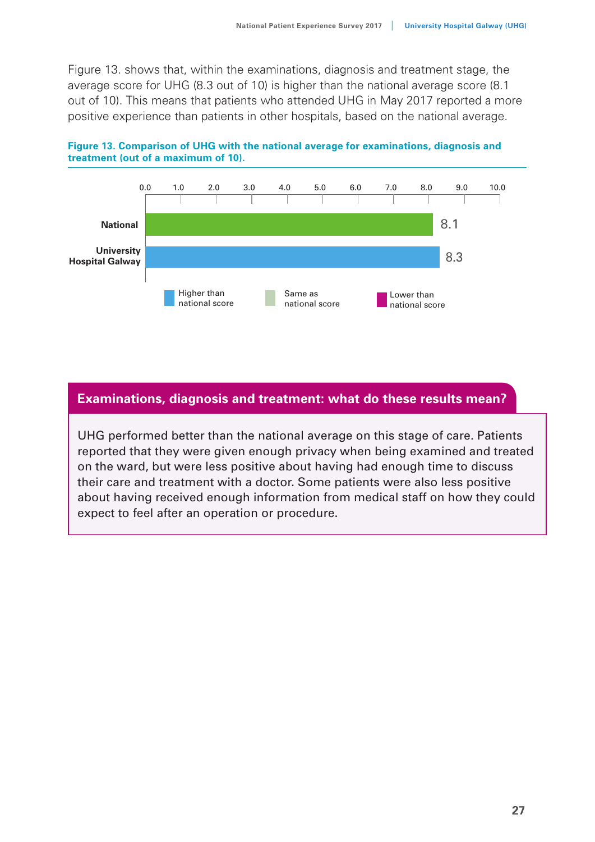Figure 13. shows that, within the examinations, diagnosis and treatment stage, the average score for UHG (8.3 out of 10) is higher than the national average score (8.1 out of 10). This means that patients who attended UHG in May 2017 reported a more positive experience than patients in other hospitals, based on the national average.





#### **Examinations, diagnosis and treatment: what do these results mean?**

UHG performed better than the national average on this stage of care. Patients reported that they were given enough privacy when being examined and treated on the ward, but were less positive about having had enough time to discuss their care and treatment with a doctor. Some patients were also less positive about having received enough information from medical staff on how they could expect to feel after an operation or procedure.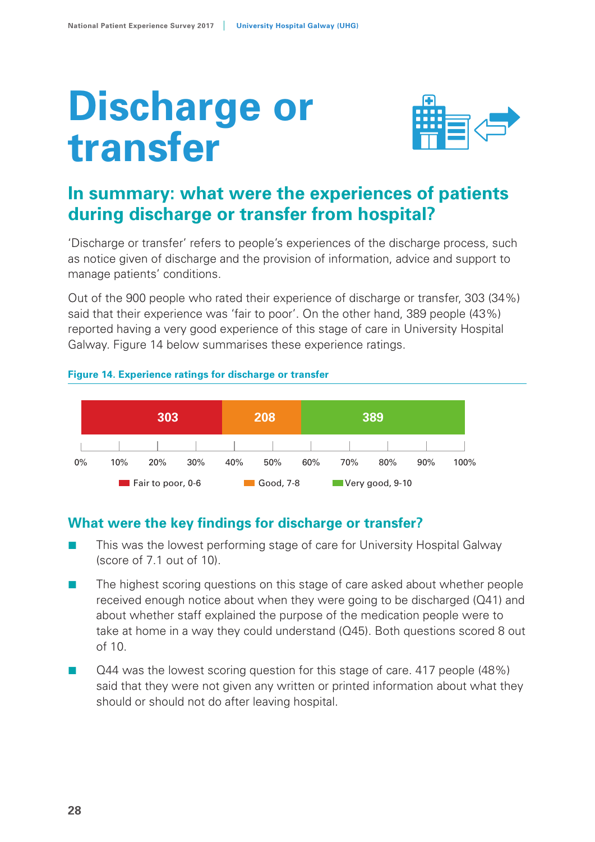# **Discharge or transfer**



## **In summary: what were the experiences of patients during discharge or transfer from hospital?**

'Discharge or transfer' refers to people's experiences of the discharge process, such as notice given of discharge and the provision of information, advice and support to manage patients' conditions.

Out of the 900 people who rated their experience of discharge or transfer, 303 (34%) said that their experience was 'fair to poor'. On the other hand, 389 people (43%) reported having a very good experience of this stage of care in University Hospital Galway. Figure 14 below summarises these experience ratings.

#### **Figure 14. Experience ratings for discharge or transfer**



## **What were the key findings for discharge or transfer?**

- This was the lowest performing stage of care for University Hospital Galway (score of 7.1 out of 10).
- The highest scoring questions on this stage of care asked about whether people received enough notice about when they were going to be discharged (Q41) and about whether staff explained the purpose of the medication people were to take at home in a way they could understand (Q45). Both questions scored 8 out of 10.
- Q44 was the lowest scoring question for this stage of care. 417 people (48%) said that they were not given any written or printed information about what they should or should not do after leaving hospital.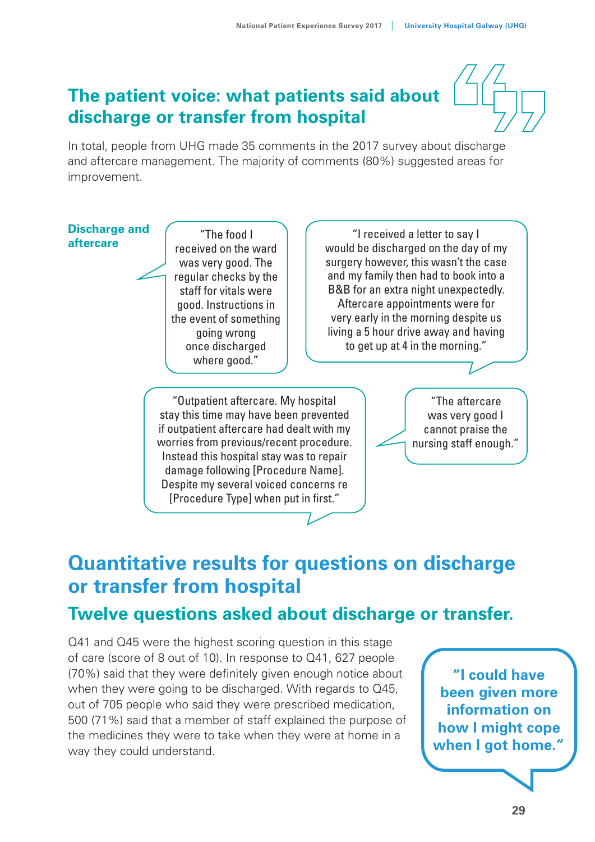## **The patient voice: what patients said about discharge or transfer from hospital**

In total, people from UHG made 35 comments in the 2017 survey about discharge and aftercare management. The majority of comments (80%) suggested areas for improvement.

## **Discharge and**

**aftercare and received on the ward** was very good. The regular checks by the staff for vitals were good. Instructions in the event of something going wrong once discharged where good."

"I received a letter to say I would be discharged on the day of my surgery however, this wasn't the case and my family then had to book into a B&B for an extra night unexpectedly. Aftercare appointments were for very early in the morning despite us living a 5 hour drive away and having to get up at 4 in the morning."

"Outpatient aftercare. My hospital stay this time may have been prevented if outpatient aftercare had dealt with my worries from previous/recent procedure. Instead this hospital stay was to repair damage following [Procedure Name]. Despite my several voiced concerns re [Procedure Type] when put in first."

"The aftercare was very good I cannot praise the nursing staff enough."

## **Quantitative results for questions on discharge or transfer from hospital**

## **Twelve questions asked about discharge or transfer.**

Q41 and Q45 were the highest scoring question in this stage of care (score of 8 out of 10). In response to Q41, 627 people (70%) said that they were definitely given enough notice about when they were going to be discharged. With regards to Q45, out of 705 people who said they were prescribed medication, 500 (71%) said that a member of staff explained the purpose of the medicines they were to take when they were at home in a way they could understand.

**"I could have been given more information on how I might cope when I got home."**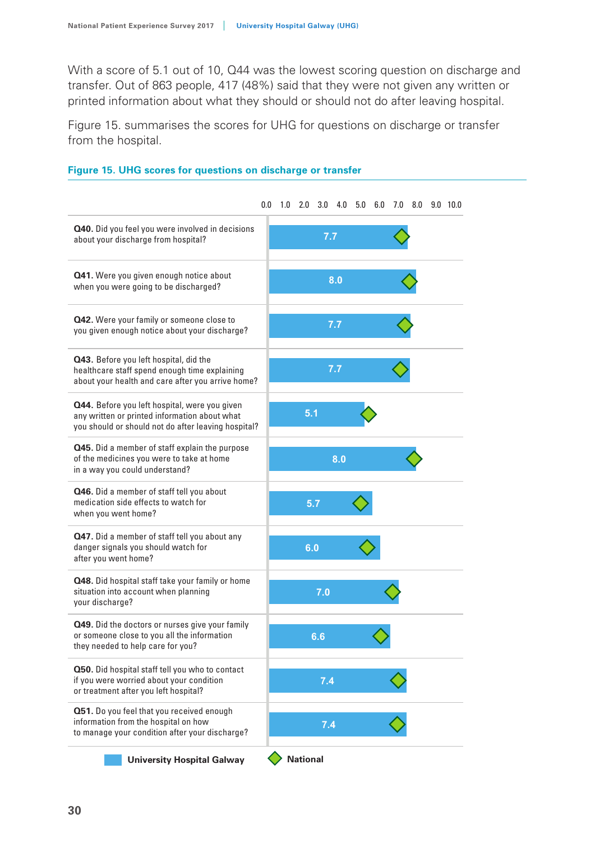With a score of 5.1 out of 10, Q44 was the lowest scoring question on discharge and transfer. Out of 863 people, 417 (48%) said that they were not given any written or printed information about what they should or should not do after leaving hospital.

Figure 15. summarises the scores for UHG for questions on discharge or transfer from the hospital.



#### **Figure 15. UHG scores for questions on discharge or transfer Figure 15. SVUH scores for discharge or transfer**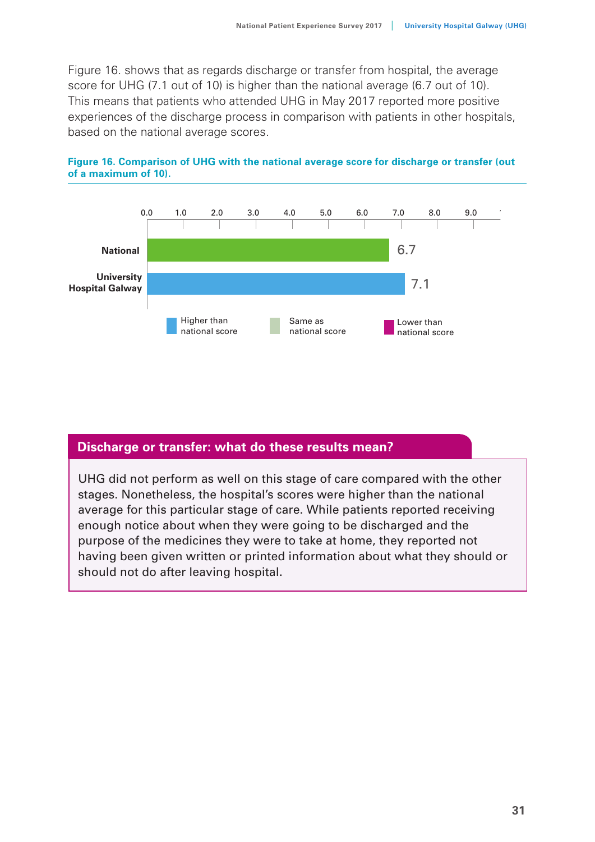Figure 16. shows that as regards discharge or transfer from hospital, the average score for UHG (7.1 out of 10) is higher than the national average (6.7 out of 10). This means that patients who attended UHG in May 2017 reported more positive experiences of the discharge process in comparison with patients in other hospitals, based on the national average scores.





#### **Discharge or transfer: what do these results mean?**

UHG did not perform as well on this stage of care compared with the other stages. Nonetheless, the hospital's scores were higher than the national average for this particular stage of care. While patients reported receiving enough notice about when they were going to be discharged and the purpose of the medicines they were to take at home, they reported not having been given written or printed information about what they should or should not do after leaving hospital.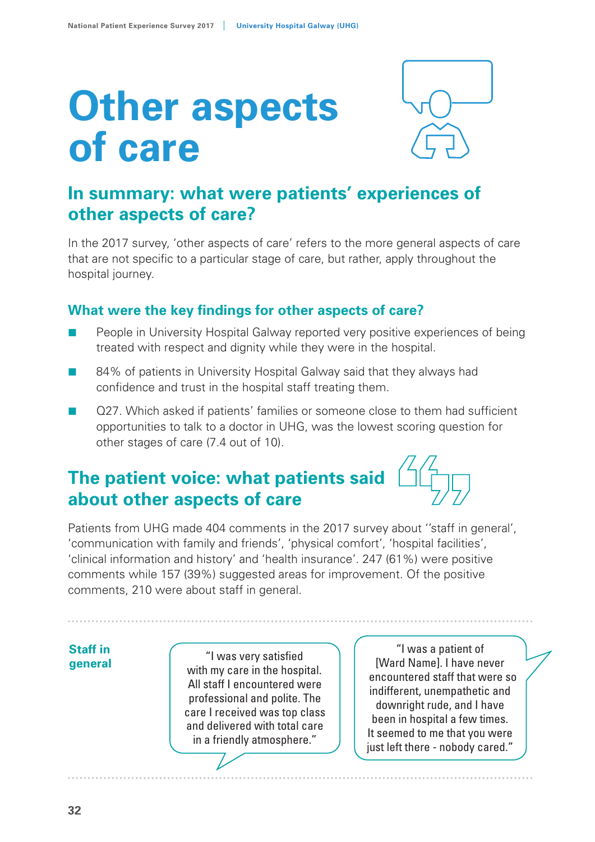# **Other aspects of care**



## **In summary: what were patients' experiences of other aspects of care?**

In the 2017 survey, 'other aspects of care' refers to the more general aspects of care that are not specific to a particular stage of care, but rather, apply throughout the hospital journey.

## **What were the key findings for other aspects of care?**

- People in University Hospital Galway reported very positive experiences of being treated with respect and dignity while they were in the hospital.
- 84% of patients in University Hospital Galway said that they always had confidence and trust in the hospital staff treating them.
- Q27. Which asked if patients' families or someone close to them had sufficient opportunities to talk to a doctor in UHG, was the lowest scoring question for other stages of care (7.4 out of 10).

## **The patient voice: what patients said about other aspects of care**

Patients from UHG made 404 comments in the 2017 survey about ''staff in general', 'communication with family and friends', 'physical comfort', 'hospital facilities', 'clinical information and history' and 'health insurance'. 247 (61%) were positive comments while 157 (39%) suggested areas for improvement. Of the positive comments, 210 were about staff in general.

## **Staff in**

**general**  $\begin{pmatrix} 1 & 0 & 0 \\ 0 & 1 & 0 \\ 0 & 0 & 1 \end{pmatrix}$  was very satisfied with my care in the hospital. All staff I encountered were professional and polite. The care I received was top class and delivered with total care in a friendly atmosphere."

"I was a patient of [Ward Name]. I have never encountered staff that were so indifferent, unempathetic and downright rude, and I have been in hospital a few times. It seemed to me that you were just left there - nobody cared."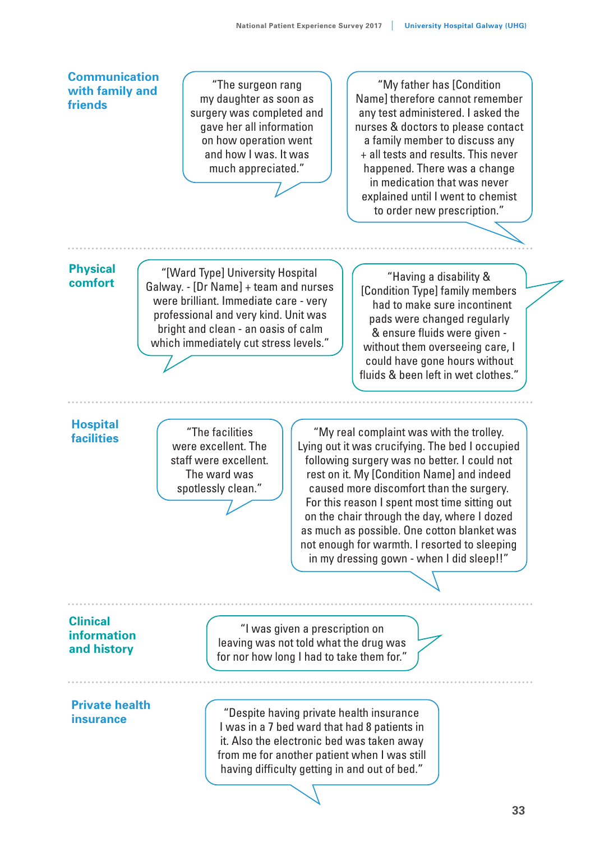#### **Communication with family and friends**

"The surgeon rang my daughter as soon as surgery was completed and gave her all information on how operation went and how I was. It was much appreciated."

"My father has [Condition Name] therefore cannot remember any test administered. I asked the nurses & doctors to please contact a family member to discuss any + all tests and results. This never happened. There was a change in medication that was never explained until I went to chemist to order new prescription."

#### **Physical comfort**

"[Ward Type] University Hospital Galway. - [Dr Name] + team and nurses were brilliant. Immediate care - very professional and very kind. Unit was bright and clean - an oasis of calm which immediately cut stress levels."

"Having a disability & [Condition Type] family members had to make sure incontinent pads were changed regularly & ensure fluids were given without them overseeing care, I could have gone hours without fluids & been left in wet clothes."

#### **Hospital facilities**

"The facilities were excellent. The staff were excellent. The ward was spotlessly clean."

"My real complaint was with the trolley. Lying out it was crucifying. The bed I occupied following surgery was no better. I could not rest on it. My [Condition Name] and indeed caused more discomfort than the surgery. For this reason I spent most time sitting out on the chair through the day, where I dozed as much as possible. One cotton blanket was not enough for warmth. I resorted to sleeping in my dressing gown - when I did sleep!!"

#### **Clinical information and history**

"I was given a prescription on leaving was not told what the drug was for nor how long I had to take them for."

**Private health insurance**

"Despite having private health insurance I was in a 7 bed ward that had 8 patients in it. Also the electronic bed was taken away from me for another patient when I was still having difficulty getting in and out of bed."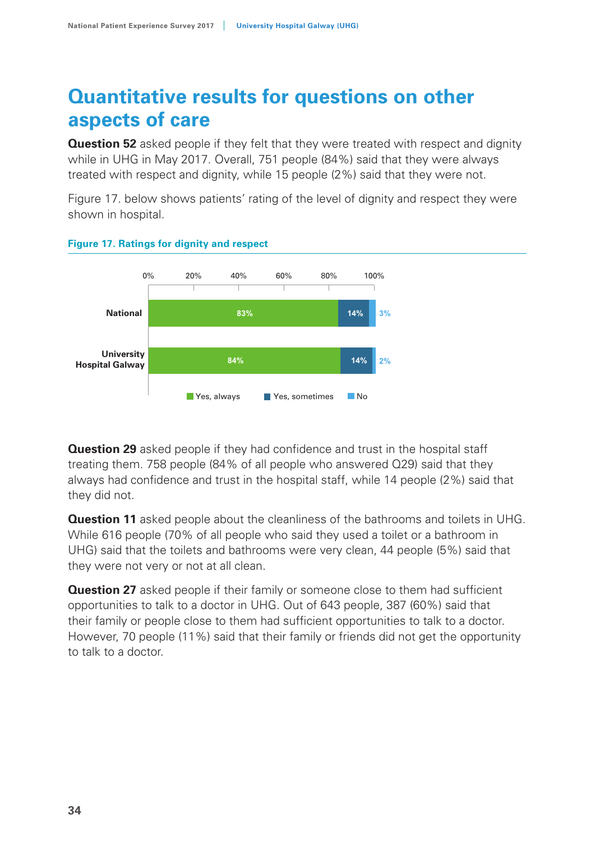## **Quantitative results for questions on other aspects of care**

**Question 52** asked people if they felt that they were treated with respect and dignity while in UHG in May 2017. Overall, 751 people (84%) said that they were always treated with respect and dignity, while 15 people (2%) said that they were not.

Figure 17. below shows patients' rating of the level of dignity and respect they were shown in hospital.



#### **Figure 17. Ratings for dignity and respect**

**Question 29** asked people if they had confidence and trust in the hospital staff treating them. 758 people (84% of all people who answered Q29) said that they always had confidence and trust in the hospital staff, while 14 people (2%) said that they did not.

**Question 11** asked people about the cleanliness of the bathrooms and toilets in UHG. While 616 people (70% of all people who said they used a toilet or a bathroom in UHG) said that the toilets and bathrooms were very clean, 44 people (5%) said that they were not very or not at all clean.

**Question 27** asked people if their family or someone close to them had sufficient opportunities to talk to a doctor in UHG. Out of 643 people, 387 (60%) said that their family or people close to them had sufficient opportunities to talk to a doctor. However, 70 people (11%) said that their family or friends did not get the opportunity to talk to a doctor.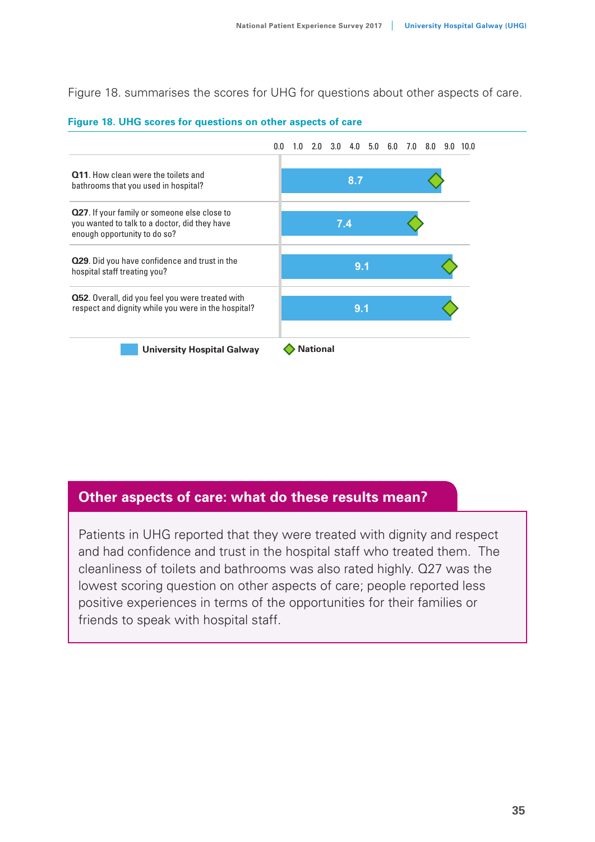Figure 18. summarises the scores for UHG for questions about other aspects of care.



#### **Figure 18. UHG scores for questions on other aspects of care**

#### **Other aspects of care: what do these results mean?**

Patients in UHG reported that they were treated with dignity and respect and had confidence and trust in the hospital staff who treated them. The cleanliness of toilets and bathrooms was also rated highly. Q27 was the lowest scoring question on other aspects of care; people reported less positive experiences in terms of the opportunities for their families or friends to speak with hospital staff.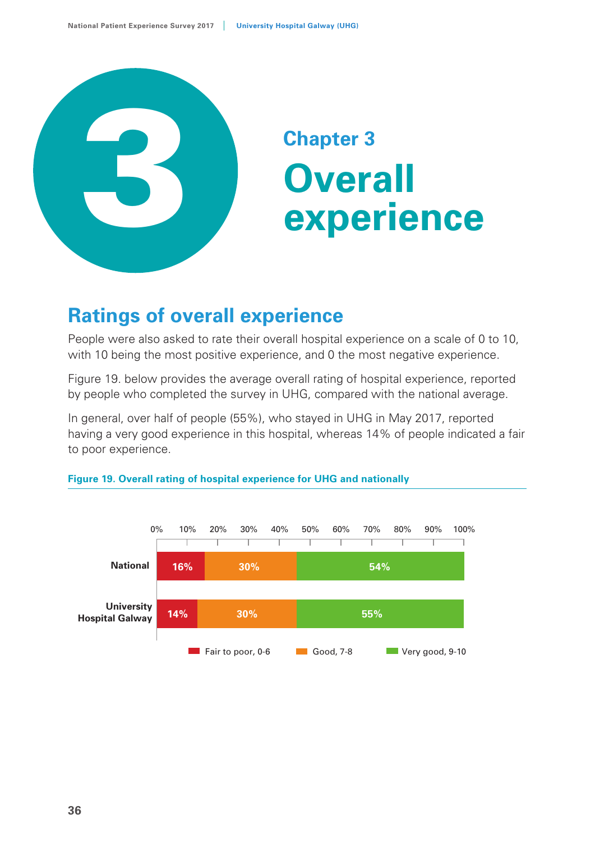

## **Chapter 3 Overall experience**

## **Ratings of overall experience**

People were also asked to rate their overall hospital experience on a scale of 0 to 10, with 10 being the most positive experience, and 0 the most negative experience.

Figure 19. below provides the average overall rating of hospital experience, reported by people who completed the survey in UHG, compared with the national average.

In general, over half of people (55%), who stayed in UHG in May 2017, reported having a very good experience in this hospital, whereas 14% of people indicated a fair to poor experience.



#### **Figure 19. Overall rating of hospital experience for UHG and nationally**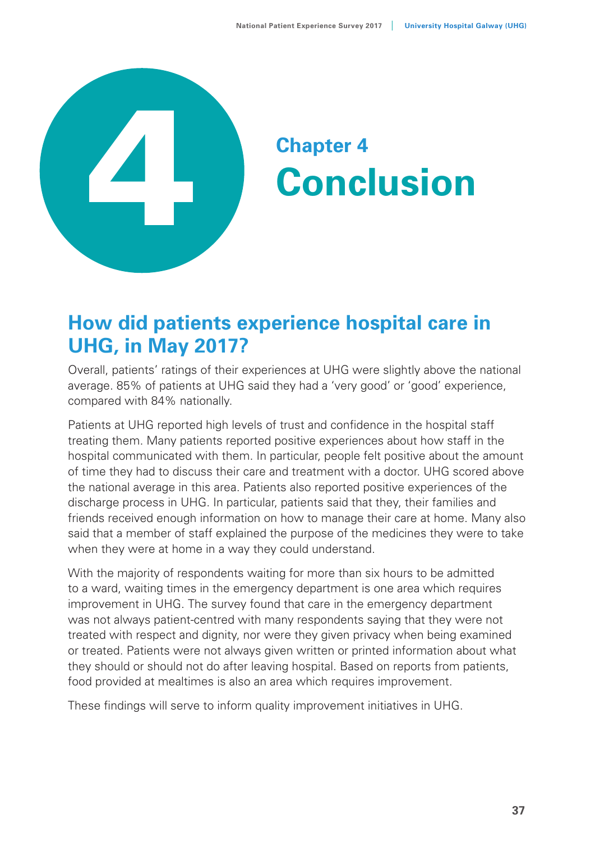

# **Conclusion**

## **How did patients experience hospital care in UHG, in May 2017?**

Overall, patients' ratings of their experiences at UHG were slightly above the national average. 85% of patients at UHG said they had a 'very good' or 'good' experience, compared with 84% nationally.

Patients at UHG reported high levels of trust and confidence in the hospital staff treating them. Many patients reported positive experiences about how staff in the hospital communicated with them. In particular, people felt positive about the amount of time they had to discuss their care and treatment with a doctor. UHG scored above the national average in this area. Patients also reported positive experiences of the discharge process in UHG. In particular, patients said that they, their families and friends received enough information on how to manage their care at home. Many also said that a member of staff explained the purpose of the medicines they were to take when they were at home in a way they could understand.

With the majority of respondents waiting for more than six hours to be admitted to a ward, waiting times in the emergency department is one area which requires improvement in UHG. The survey found that care in the emergency department was not always patient-centred with many respondents saying that they were not treated with respect and dignity, nor were they given privacy when being examined or treated. Patients were not always given written or printed information about what they should or should not do after leaving hospital. Based on reports from patients, food provided at mealtimes is also an area which requires improvement.

These findings will serve to inform quality improvement initiatives in UHG.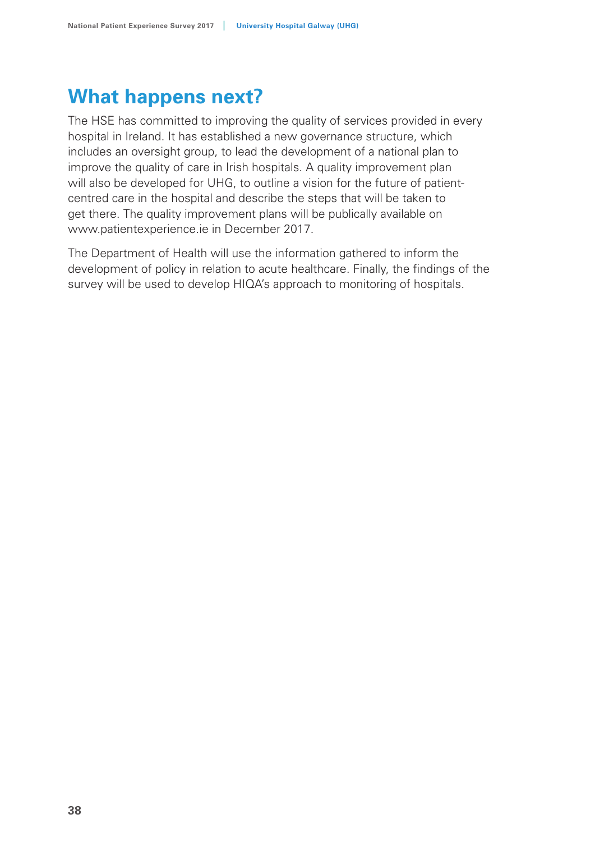## **What happens next?**

The HSE has committed to improving the quality of services provided in every hospital in Ireland. It has established a new governance structure, which includes an oversight group, to lead the development of a national plan to improve the quality of care in Irish hospitals. A quality improvement plan will also be developed for UHG, to outline a vision for the future of patientcentred care in the hospital and describe the steps that will be taken to get there. The quality improvement plans will be publically available on www.patientexperience.ie in December 2017.

The Department of Health will use the information gathered to inform the development of policy in relation to acute healthcare. Finally, the findings of the survey will be used to develop HIQA's approach to monitoring of hospitals.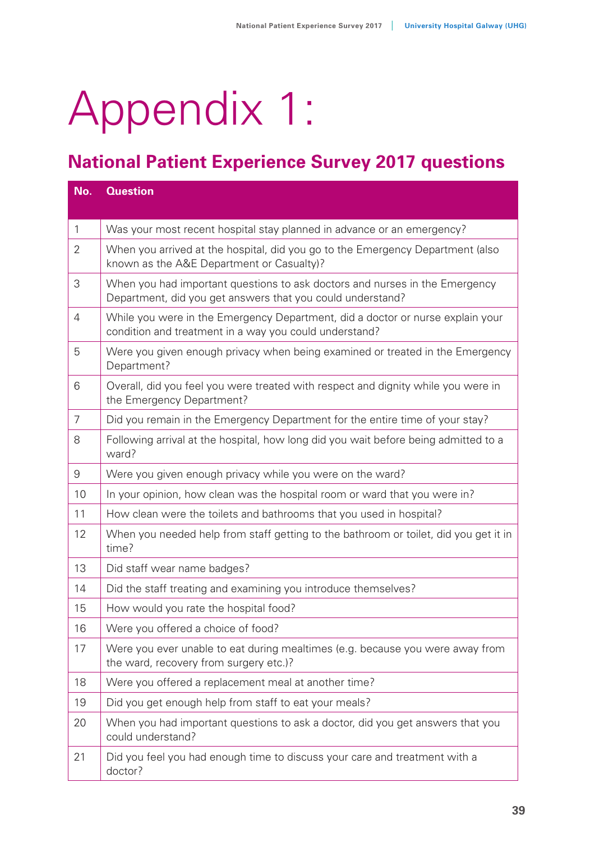# Appendix 1:

## **National Patient Experience Survey 2017 questions**

| No.            | <b>Question</b>                                                                                                                           |
|----------------|-------------------------------------------------------------------------------------------------------------------------------------------|
|                |                                                                                                                                           |
| $\mathbf{1}$   | Was your most recent hospital stay planned in advance or an emergency?                                                                    |
| 2              | When you arrived at the hospital, did you go to the Emergency Department (also<br>known as the A&E Department or Casualty)?               |
| 3              | When you had important questions to ask doctors and nurses in the Emergency<br>Department, did you get answers that you could understand? |
| $\overline{4}$ | While you were in the Emergency Department, did a doctor or nurse explain your<br>condition and treatment in a way you could understand?  |
| 5              | Were you given enough privacy when being examined or treated in the Emergency<br>Department?                                              |
| 6              | Overall, did you feel you were treated with respect and dignity while you were in<br>the Emergency Department?                            |
| $\overline{7}$ | Did you remain in the Emergency Department for the entire time of your stay?                                                              |
| 8              | Following arrival at the hospital, how long did you wait before being admitted to a<br>ward?                                              |
| 9              | Were you given enough privacy while you were on the ward?                                                                                 |
| 10             | In your opinion, how clean was the hospital room or ward that you were in?                                                                |
| 11             | How clean were the toilets and bathrooms that you used in hospital?                                                                       |
| 12             | When you needed help from staff getting to the bathroom or toilet, did you get it in<br>time?                                             |
| 13             | Did staff wear name badges?                                                                                                               |
| 14             | Did the staff treating and examining you introduce themselves?                                                                            |
| 15             | How would you rate the hospital food?                                                                                                     |
| 16             | Were you offered a choice of food?                                                                                                        |
| 17             | Were you ever unable to eat during mealtimes (e.g. because you were away from<br>the ward, recovery from surgery etc.)?                   |
| 18             | Were you offered a replacement meal at another time?                                                                                      |
| 19             | Did you get enough help from staff to eat your meals?                                                                                     |
| 20             | When you had important questions to ask a doctor, did you get answers that you<br>could understand?                                       |
| 21             | Did you feel you had enough time to discuss your care and treatment with a<br>doctor?                                                     |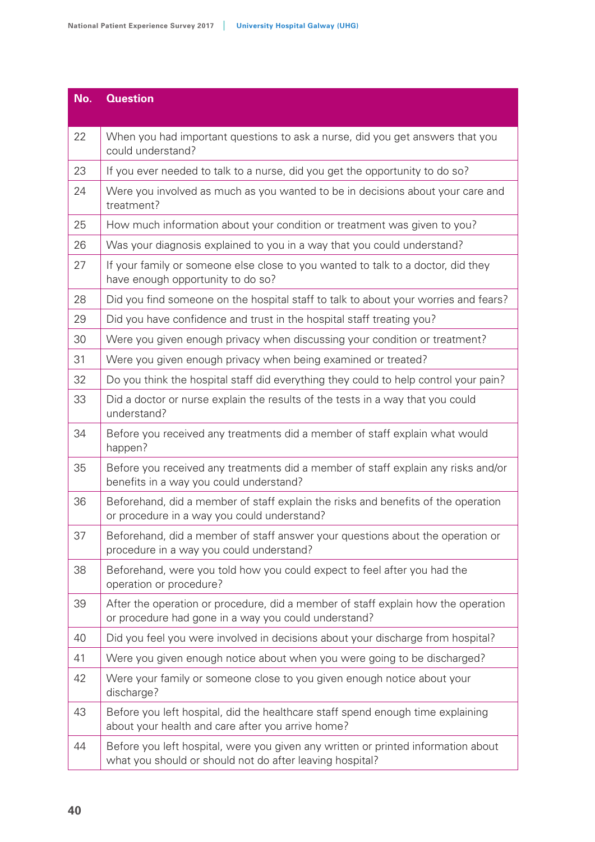| No. | <b>Question</b>                                                                                                                               |
|-----|-----------------------------------------------------------------------------------------------------------------------------------------------|
| 22  | When you had important questions to ask a nurse, did you get answers that you<br>could understand?                                            |
| 23  | If you ever needed to talk to a nurse, did you get the opportunity to do so?                                                                  |
| 24  | Were you involved as much as you wanted to be in decisions about your care and<br>treatment?                                                  |
| 25  | How much information about your condition or treatment was given to you?                                                                      |
| 26  | Was your diagnosis explained to you in a way that you could understand?                                                                       |
| 27  | If your family or someone else close to you wanted to talk to a doctor, did they<br>have enough opportunity to do so?                         |
| 28  | Did you find someone on the hospital staff to talk to about your worries and fears?                                                           |
| 29  | Did you have confidence and trust in the hospital staff treating you?                                                                         |
| 30  | Were you given enough privacy when discussing your condition or treatment?                                                                    |
| 31  | Were you given enough privacy when being examined or treated?                                                                                 |
| 32  | Do you think the hospital staff did everything they could to help control your pain?                                                          |
| 33  | Did a doctor or nurse explain the results of the tests in a way that you could<br>understand?                                                 |
| 34  | Before you received any treatments did a member of staff explain what would<br>happen?                                                        |
| 35  | Before you received any treatments did a member of staff explain any risks and/or<br>benefits in a way you could understand?                  |
| 36  | Beforehand, did a member of staff explain the risks and benefits of the operation<br>or procedure in a way you could understand?              |
| 37  | Beforehand, did a member of staff answer your questions about the operation or<br>procedure in a way you could understand?                    |
| 38  | Beforehand, were you told how you could expect to feel after you had the<br>operation or procedure?                                           |
| 39  | After the operation or procedure, did a member of staff explain how the operation<br>or procedure had gone in a way you could understand?     |
| 40  | Did you feel you were involved in decisions about your discharge from hospital?                                                               |
| 41  | Were you given enough notice about when you were going to be discharged?                                                                      |
| 42  | Were your family or someone close to you given enough notice about your<br>discharge?                                                         |
| 43  | Before you left hospital, did the healthcare staff spend enough time explaining<br>about your health and care after you arrive home?          |
| 44  | Before you left hospital, were you given any written or printed information about<br>what you should or should not do after leaving hospital? |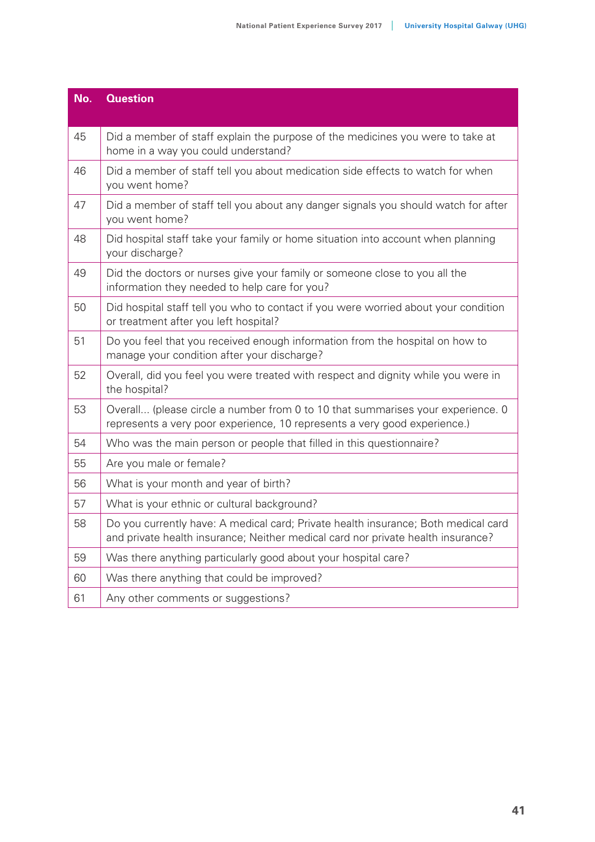| No. | <b>Question</b>                                                                                                                                                        |
|-----|------------------------------------------------------------------------------------------------------------------------------------------------------------------------|
| 45  | Did a member of staff explain the purpose of the medicines you were to take at<br>home in a way you could understand?                                                  |
| 46  | Did a member of staff tell you about medication side effects to watch for when<br>you went home?                                                                       |
| 47  | Did a member of staff tell you about any danger signals you should watch for after<br>you went home?                                                                   |
| 48  | Did hospital staff take your family or home situation into account when planning<br>your discharge?                                                                    |
| 49  | Did the doctors or nurses give your family or someone close to you all the<br>information they needed to help care for you?                                            |
| 50  | Did hospital staff tell you who to contact if you were worried about your condition<br>or treatment after you left hospital?                                           |
| 51  | Do you feel that you received enough information from the hospital on how to<br>manage your condition after your discharge?                                            |
| 52  | Overall, did you feel you were treated with respect and dignity while you were in<br>the hospital?                                                                     |
| 53  | Overall (please circle a number from 0 to 10 that summarises your experience. 0<br>represents a very poor experience, 10 represents a very good experience.)           |
| 54  | Who was the main person or people that filled in this questionnaire?                                                                                                   |
| 55  | Are you male or female?                                                                                                                                                |
| 56  | What is your month and year of birth?                                                                                                                                  |
| 57  | What is your ethnic or cultural background?                                                                                                                            |
| 58  | Do you currently have: A medical card; Private health insurance; Both medical card<br>and private health insurance; Neither medical card nor private health insurance? |
| 59  | Was there anything particularly good about your hospital care?                                                                                                         |
| 60  | Was there anything that could be improved?                                                                                                                             |
| 61  | Any other comments or suggestions?                                                                                                                                     |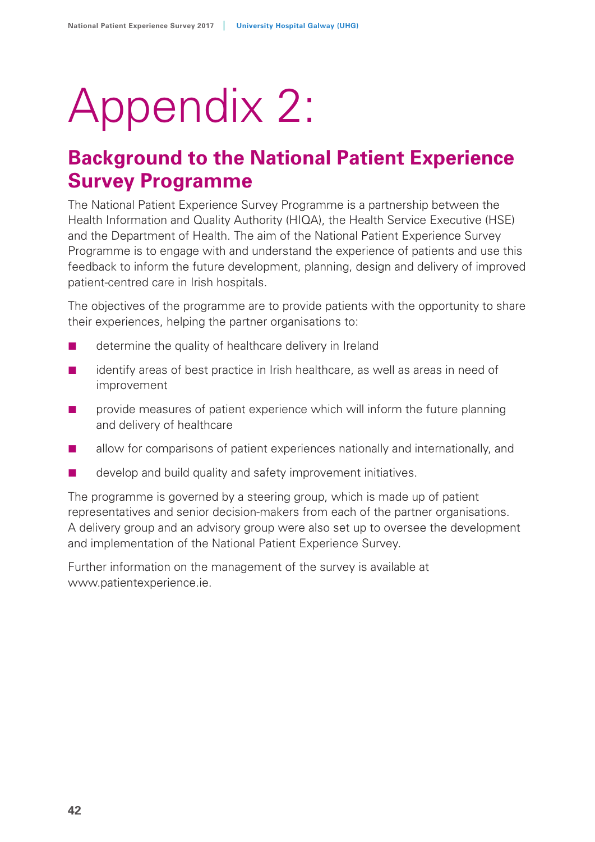# Appendix 2:

## **Background to the National Patient Experience Survey Programme**

The National Patient Experience Survey Programme is a partnership between the Health Information and Quality Authority (HIQA), the Health Service Executive (HSE) and the Department of Health. The aim of the National Patient Experience Survey Programme is to engage with and understand the experience of patients and use this feedback to inform the future development, planning, design and delivery of improved patient-centred care in Irish hospitals.

The objectives of the programme are to provide patients with the opportunity to share their experiences, helping the partner organisations to:

- $\blacksquare$  determine the quality of healthcare delivery in Ireland
- $\blacksquare$  identify areas of best practice in Irish healthcare, as well as areas in need of improvement
- **Particle** provide measures of patient experience which will inform the future planning and delivery of healthcare
- **EXECUTE:** allow for comparisons of patient experiences nationally and internationally, and
- develop and build quality and safety improvement initiatives.

The programme is governed by a steering group, which is made up of patient representatives and senior decision-makers from each of the partner organisations. A delivery group and an advisory group were also set up to oversee the development and implementation of the National Patient Experience Survey.

Further information on the management of the survey is available at www.patientexperience.ie.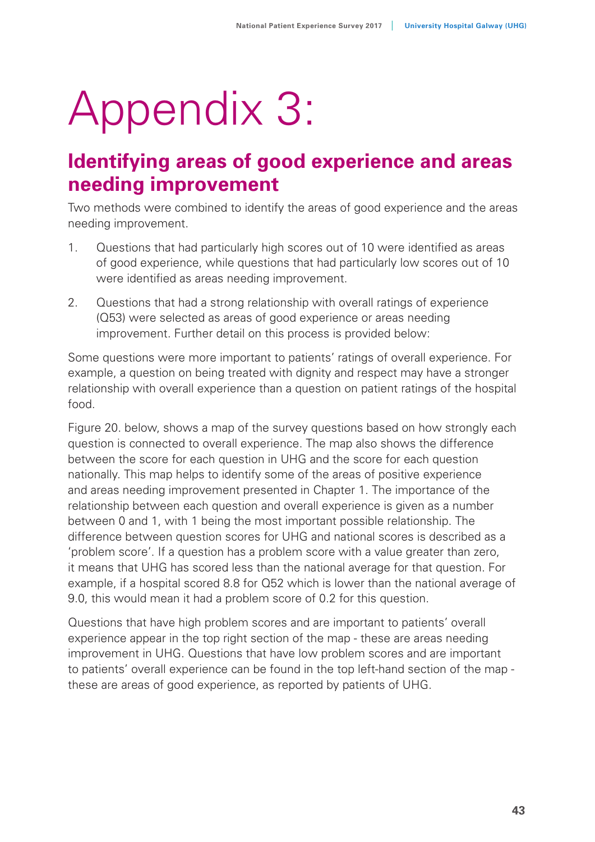# Appendix 3:

## **Identifying areas of good experience and areas needing improvement**

Two methods were combined to identify the areas of good experience and the areas needing improvement.

- 1. Questions that had particularly high scores out of 10 were identified as areas of good experience, while questions that had particularly low scores out of 10 were identified as areas needing improvement.
- 2. Questions that had a strong relationship with overall ratings of experience (Q53) were selected as areas of good experience or areas needing improvement. Further detail on this process is provided below:

Some questions were more important to patients' ratings of overall experience. For example, a question on being treated with dignity and respect may have a stronger relationship with overall experience than a question on patient ratings of the hospital food.

Figure 20. below, shows a map of the survey questions based on how strongly each question is connected to overall experience. The map also shows the difference between the score for each question in UHG and the score for each question nationally. This map helps to identify some of the areas of positive experience and areas needing improvement presented in Chapter 1. The importance of the relationship between each question and overall experience is given as a number between 0 and 1, with 1 being the most important possible relationship. The difference between question scores for UHG and national scores is described as a 'problem score'. If a question has a problem score with a value greater than zero, it means that UHG has scored less than the national average for that question. For example, if a hospital scored 8.8 for Q52 which is lower than the national average of 9.0, this would mean it had a problem score of 0.2 for this question.

Questions that have high problem scores and are important to patients' overall experience appear in the top right section of the map - these are areas needing improvement in UHG. Questions that have low problem scores and are important to patients' overall experience can be found in the top left-hand section of the map these are areas of good experience, as reported by patients of UHG.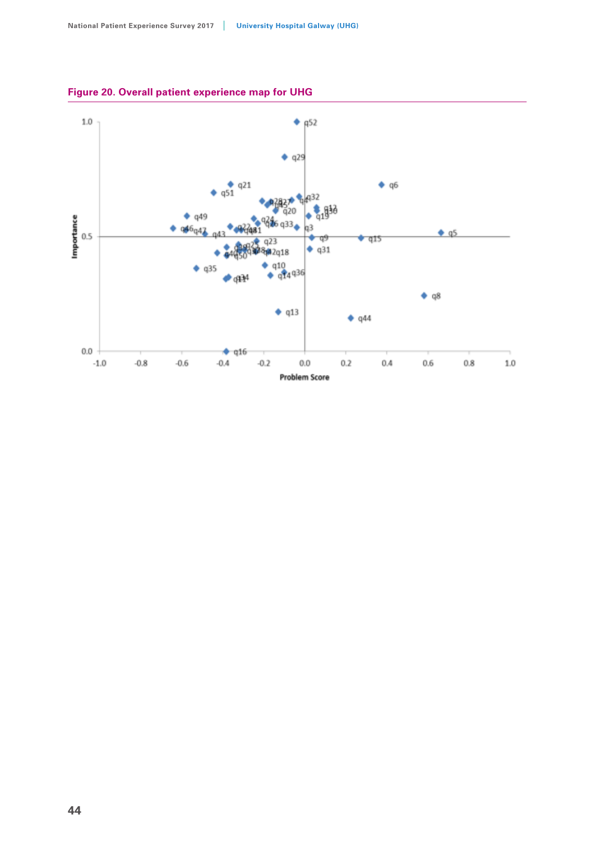

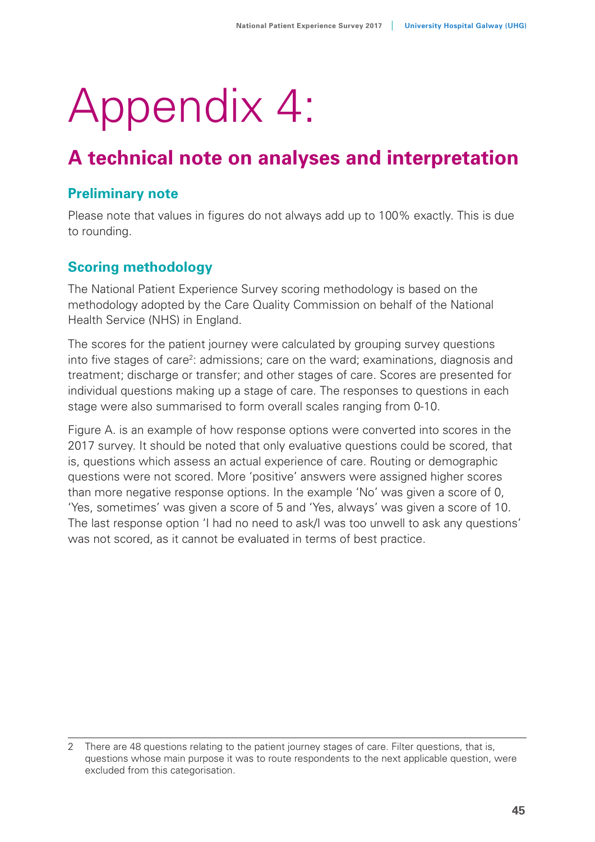# Appendix 4:

## **A technical note on analyses and interpretation**

#### **Preliminary note**

Please note that values in figures do not always add up to 100% exactly. This is due to rounding.

## **Scoring methodology**

The National Patient Experience Survey scoring methodology is based on the methodology adopted by the Care Quality Commission on behalf of the National Health Service (NHS) in England.

The scores for the patient journey were calculated by grouping survey questions into five stages of care<sup>2</sup>: admissions; care on the ward; examinations, diagnosis and treatment; discharge or transfer; and other stages of care. Scores are presented for individual questions making up a stage of care. The responses to questions in each stage were also summarised to form overall scales ranging from 0-10.

Figure A. is an example of how response options were converted into scores in the 2017 survey. It should be noted that only evaluative questions could be scored, that is, questions which assess an actual experience of care. Routing or demographic questions were not scored. More 'positive' answers were assigned higher scores than more negative response options. In the example 'No' was given a score of 0, 'Yes, sometimes' was given a score of 5 and 'Yes, always' was given a score of 10. The last response option 'I had no need to ask/I was too unwell to ask any questions' was not scored, as it cannot be evaluated in terms of best practice.

<sup>2</sup> There are 48 questions relating to the patient journey stages of care. Filter questions, that is, questions whose main purpose it was to route respondents to the next applicable question, were excluded from this categorisation.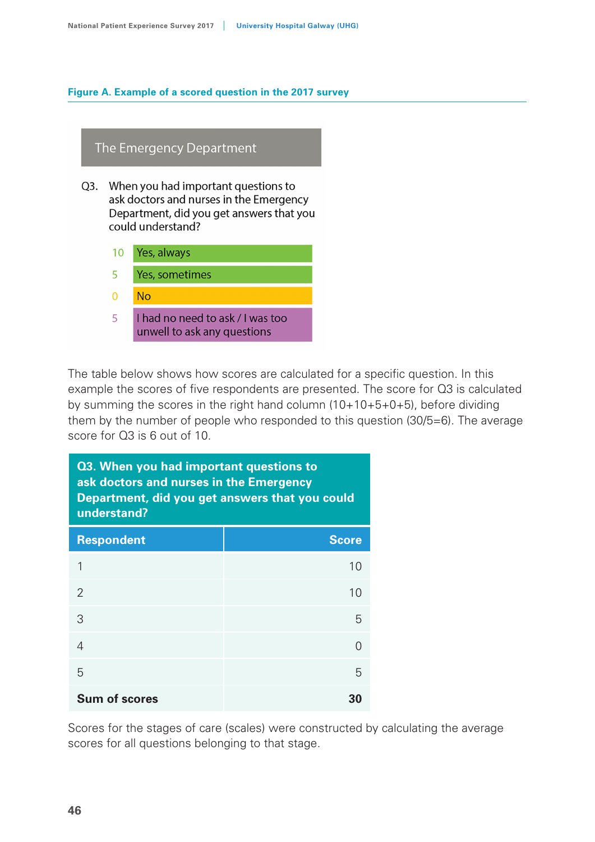#### **Figure A. Example of a scored question in the 2017 survey**

#### The Emergency Department

- Q3. When you had important questions to ask doctors and nurses in the Emergency Department, did you get answers that you could understand?
	- $10<sup>1</sup>$ Yes, always
	- 5 Yes, sometimes
	- $\Omega$  $No$
	- I had no need to ask / I was too  $\overline{5}$ unwell to ask any questions

The table below shows how scores are calculated for a specific question. In this example the scores of five respondents are presented. The score for Q3 is calculated by summing the scores in the right hand column  $(10+10+5+0+5)$ , before dividing them by the number of people who responded to this question (30/5=6). The average score for Q3 is 6 out of 10.

| Q3. When you had important questions to<br>ask doctors and nurses in the Emergency<br>Department, did you get answers that you could<br>understand? |              |  |  |  |
|-----------------------------------------------------------------------------------------------------------------------------------------------------|--------------|--|--|--|
| <b>Respondent</b>                                                                                                                                   | <b>Score</b> |  |  |  |
| 1                                                                                                                                                   | 10           |  |  |  |
| $\mathcal{P}$                                                                                                                                       | 10           |  |  |  |
| 3                                                                                                                                                   | 5            |  |  |  |
| 4                                                                                                                                                   | $\cap$       |  |  |  |
| 5                                                                                                                                                   | 5            |  |  |  |
| <b>Sum of scores</b><br>30                                                                                                                          |              |  |  |  |

Scores for the stages of care (scales) were constructed by calculating the average scores for all questions belonging to that stage.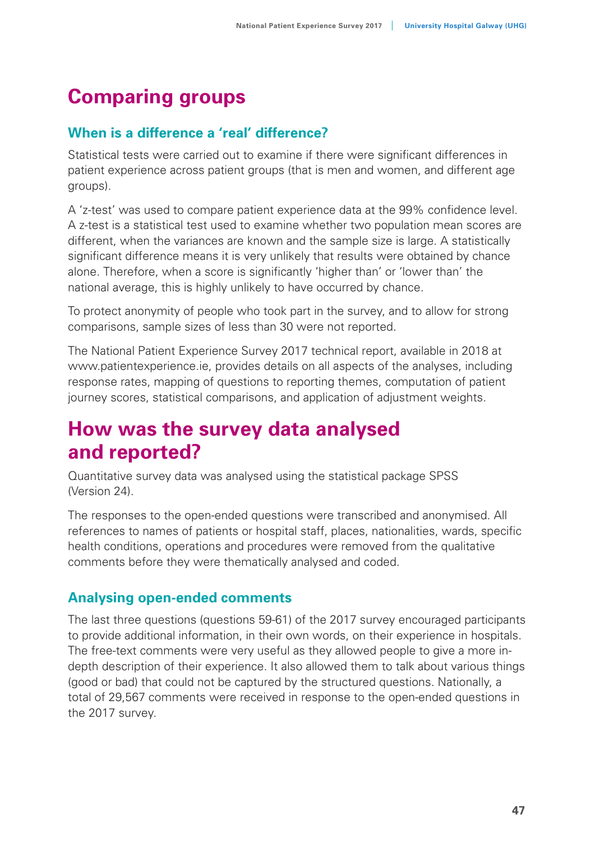## **Comparing groups**

## **When is a difference a 'real' difference?**

Statistical tests were carried out to examine if there were significant differences in patient experience across patient groups (that is men and women, and different age groups).

A 'z-test' was used to compare patient experience data at the 99% confidence level. A z-test is a statistical test used to examine whether two population mean scores are different, when the variances are known and the sample size is large. A statistically significant difference means it is very unlikely that results were obtained by chance alone. Therefore, when a score is significantly 'higher than' or 'lower than' the national average, this is highly unlikely to have occurred by chance.

To protect anonymity of people who took part in the survey, and to allow for strong comparisons, sample sizes of less than 30 were not reported.

The National Patient Experience Survey 2017 technical report, available in 2018 at www.patientexperience.ie, provides details on all aspects of the analyses, including response rates, mapping of questions to reporting themes, computation of patient journey scores, statistical comparisons, and application of adjustment weights.

## **How was the survey data analysed and reported?**

Quantitative survey data was analysed using the statistical package SPSS (Version 24).

The responses to the open-ended questions were transcribed and anonymised. All references to names of patients or hospital staff, places, nationalities, wards, specific health conditions, operations and procedures were removed from the qualitative comments before they were thematically analysed and coded.

## **Analysing open-ended comments**

The last three questions (questions 59-61) of the 2017 survey encouraged participants to provide additional information, in their own words, on their experience in hospitals. The free-text comments were very useful as they allowed people to give a more indepth description of their experience. It also allowed them to talk about various things (good or bad) that could not be captured by the structured questions. Nationally, a total of 29,567 comments were received in response to the open-ended questions in the 2017 survey.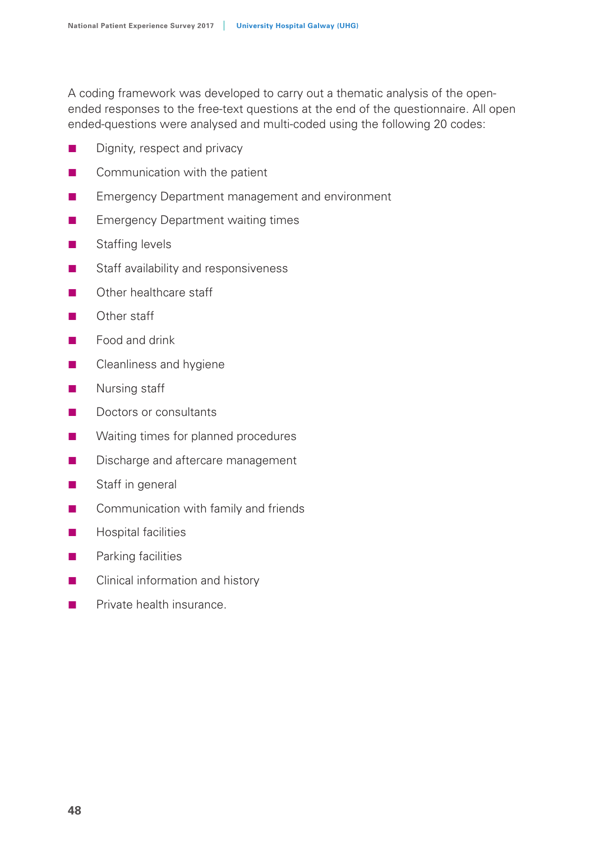A coding framework was developed to carry out a thematic analysis of the openended responses to the free-text questions at the end of the questionnaire. All open ended-questions were analysed and multi-coded using the following 20 codes:

- Dignity, respect and privacy
- Communication with the patient
- Emergency Department management and environment
- **Emergency Department waiting times**
- **Staffing levels**
- Staff availability and responsiveness
- **C** Other healthcare staff
- Other staff
- Food and drink
- **Cleanliness and hygiene**
- **Nursing staff**
- Doctors or consultants
- **Naiting times for planned procedures**
- **Discharge and aftercare management**
- Staff in general
- Communication with family and friends
- **Hospital facilities**
- **Parking facilities**
- Clinical information and history
- **Private health insurance.**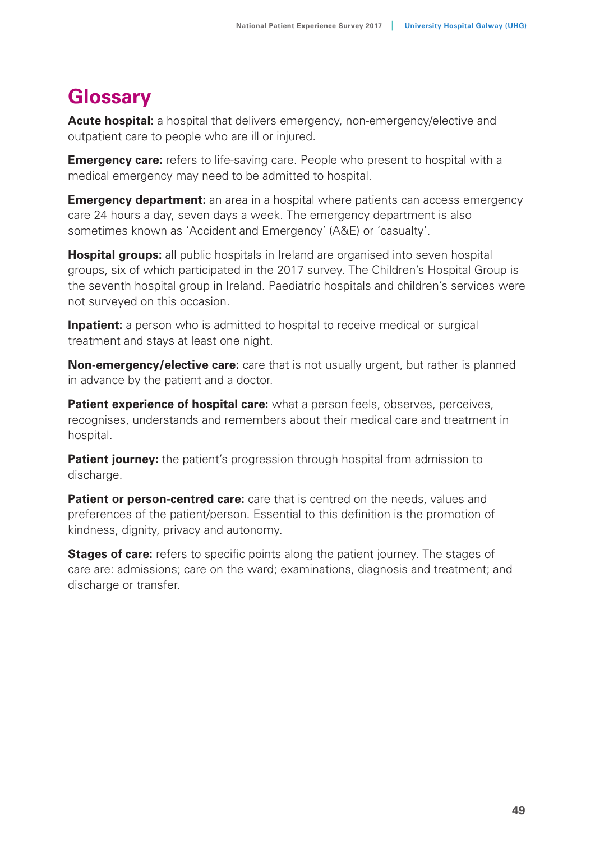## **Glossary**

**Acute hospital:** a hospital that delivers emergency, non-emergency/elective and outpatient care to people who are ill or injured.

**Emergency care:** refers to life-saving care. People who present to hospital with a medical emergency may need to be admitted to hospital.

**Emergency department:** an area in a hospital where patients can access emergency care 24 hours a day, seven days a week. The emergency department is also sometimes known as 'Accident and Emergency' (A&E) or 'casualty'.

**Hospital groups:** all public hospitals in Ireland are organised into seven hospital groups, six of which participated in the 2017 survey. The Children's Hospital Group is the seventh hospital group in Ireland. Paediatric hospitals and children's services were not surveyed on this occasion.

**Inpatient:** a person who is admitted to hospital to receive medical or surgical treatment and stays at least one night.

**Non-emergency/elective care:** care that is not usually urgent, but rather is planned in advance by the patient and a doctor.

**Patient experience of hospital care:** what a person feels, observes, perceives, recognises, understands and remembers about their medical care and treatment in hospital.

**Patient journey:** the patient's progression through hospital from admission to discharge.

**Patient or person-centred care:** care that is centred on the needs, values and preferences of the patient/person. Essential to this definition is the promotion of kindness, dignity, privacy and autonomy.

**Stages of care:** refers to specific points along the patient journey. The stages of care are: admissions; care on the ward; examinations, diagnosis and treatment; and discharge or transfer.